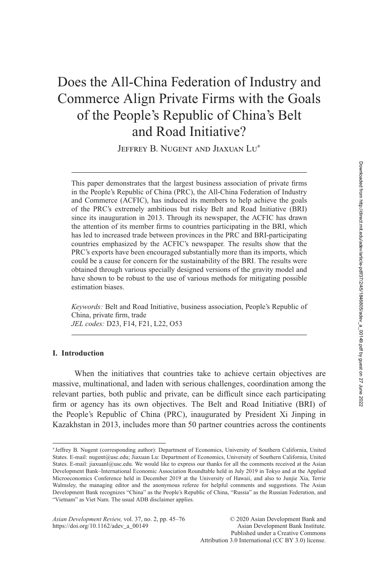# Does the All-China Federation of Industry and Commerce Align Private Firms with the Goals of the People's Republic of China's Belt and Road Initiative?

JEFFREY B. NUGENT AND JIAXUAN LU<sup>\*</sup>

This paper demonstrates that the largest business association of private firms in the People's Republic of China (PRC), the All-China Federation of Industry and Commerce (ACFIC), has induced its members to help achieve the goals of the PRC's extremely ambitious but risky Belt and Road Initiative (BRI) since its inauguration in 2013. Through its newspaper, the ACFIC has drawn the attention of its member firms to countries participating in the BRI, which has led to increased trade between provinces in the PRC and BRI-participating countries emphasized by the ACFIC's newspaper. The results show that the PRC's exports have been encouraged substantially more than its imports, which could be a cause for concern for the sustainability of the BRI. The results were obtained through various specially designed versions of the gravity model and have shown to be robust to the use of various methods for mitigating possible estimation biases.

*Keywords:* Belt and Road Initiative, business association, People's Republic of China, private firm, trade *JEL codes:* D23, F14, F21, L22, O53

### **I. Introduction**

When the initiatives that countries take to achieve certain objectives are massive, multinational, and laden with serious challenges, coordination among the relevant parties, both public and private, can be difficult since each participating firm or agency has its own objectives. The Belt and Road Initiative (BRI) of the People's Republic of China (PRC), inaugurated by President Xi Jinping in Kazakhstan in 2013, includes more than 50 partner countries across the continents

<sup>∗</sup>Jeffrey B. Nugent (corresponding author): Department of Economics, University of Southern California, United States. E-mail: nugent@usc.edu; Jiaxuan Lu: Department of Economics, University of Southern California, United States. E-mail: jiaxuanl@usc.edu. We would like to express our thanks for all the comments received at the Asian Development Bank–International Economic Association Roundtable held in July 2019 in Tokyo and at the Applied Microeconomics Conference held in December 2019 at the University of Hawaii, and also to Junjie Xia, Terrie Walmsley, the managing editor and the anonymous referee for helpful comments and suggestions. The Asian Development Bank recognizes "China" as the People's Republic of China, "Russia" as the Russian Federation, and "Vietnam" as Viet Nam. The usual ADB disclaimer applies.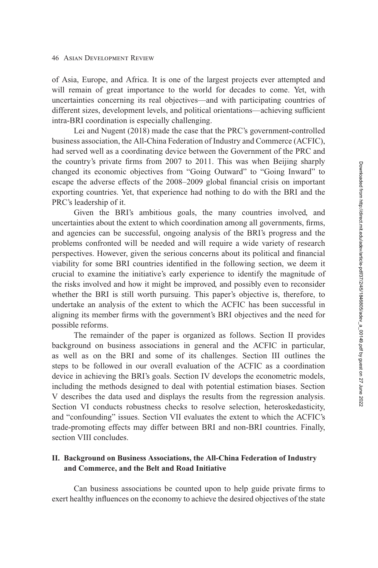of Asia, Europe, and Africa. It is one of the largest projects ever attempted and will remain of great importance to the world for decades to come. Yet, with uncertainties concerning its real objectives—and with participating countries of different sizes, development levels, and political orientations—achieving sufficient intra-BRI coordination is especially challenging.

Lei and Nugent [\(2018\)](#page-28-0) made the case that the PRC's government-controlled business association, the All-China Federation of Industry and Commerce (ACFIC), had served well as a coordinating device between the Government of the PRC and the country's private firms from 2007 to 2011. This was when Beijing sharply changed its economic objectives from "Going Outward" to "Going Inward" to escape the adverse effects of the 2008–2009 global financial crisis on important exporting countries. Yet, that experience had nothing to do with the BRI and the PRC's leadership of it.

Given the BRI's ambitious goals, the many countries involved, and uncertainties about the extent to which coordination among all governments, firms, and agencies can be successful, ongoing analysis of the BRI's progress and the problems confronted will be needed and will require a wide variety of research perspectives. However, given the serious concerns about its political and financial viability for some BRI countries identified in the following section, we deem it crucial to examine the initiative's early experience to identify the magnitude of the risks involved and how it might be improved, and possibly even to reconsider whether the BRI is still worth pursuing. This paper's objective is, therefore, to undertake an analysis of the extent to which the ACFIC has been successful in aligning its member firms with the government's BRI objectives and the need for possible reforms.

The remainder of the paper is organized as follows. Section II provides background on business associations in general and the ACFIC in particular, as well as on the BRI and some of its challenges. [Section III](#page-5-0) outlines the steps to be followed in our overall evaluation of the ACFIC as a coordination device in achieving the BRI's goals. [Section IV](#page-5-0) develops the econometric models, [including the methods designed to deal with potential estimation biases. Section](#page-9-0) V describes the data used and displays the results from the regression analysis. [Section VI](#page-16-0) conducts robustness checks to resolve selection, heteroskedasticity, and "confounding" issues. [Section VII](#page-23-0) evaluates the extent to which the ACFIC's trade-promoting effects may differ between BRI and non-BRI countries. Finally, [section VIII](#page-25-0) concludes.

### **II. Background on Business Associations, the All-China Federation of Industry and Commerce, and the Belt and Road Initiative**

Can business associations be counted upon to help guide private firms to exert healthy influences on the economy to achieve the desired objectives of the state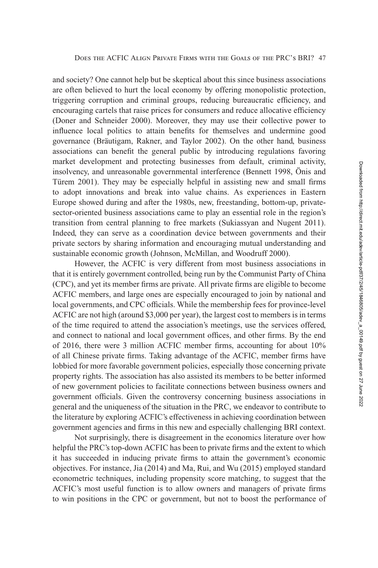and society? One cannot help but be skeptical about this since business associations are often believed to hurt the local economy by offering monopolistic protection, triggering corruption and criminal groups, reducing bureaucratic efficiency, and encouraging cartels that raise prices for consumers and reduce allocative efficiency (Doner and Schneider [2000\)](#page-27-0). Moreover, they may use their collective power to influence local politics to attain benefits for themselves and undermine good governance (Bräutigam, Rakner, and Taylor [2002\)](#page-27-0). On the other hand, business associations can benefit the general public by introducing regulations favoring market development and protecting businesses from default, criminal activity, insolvency, and unreasonable governmental interference (Bennett [1998,](#page-27-0) Önis and Türem [2001\)](#page-29-0). They may be especially helpful in assisting new and small firms to adopt innovations and break into value chains. As experiences in Eastern Europe showed during and after the 1980s, new, freestanding, bottom-up, privatesector-oriented business associations came to play an essential role in the region's transition from central planning to free markets (Sukiassyan and Nugent [2011\)](#page-29-0). Indeed, they can serve as a coordination device between governments and their private sectors by sharing information and encouraging mutual understanding and sustainable economic growth (Johnson, McMillan, and Woodruff [2000\)](#page-28-0).

However, the ACFIC is very different from most business associations in that it is entirely government controlled, being run by the Communist Party of China (CPC), and yet its member firms are private. All private firms are eligible to become ACFIC members, and large ones are especially encouraged to join by national and local governments, and CPC officials. While the membership fees for province-level ACFIC are not high (around \$3,000 per year), the largest cost to members is in terms of the time required to attend the association's meetings, use the services offered, and connect to national and local government offices, and other firms. By the end of 2016, there were 3 million ACFIC member firms, accounting for about 10% of all Chinese private firms. Taking advantage of the ACFIC, member firms have lobbied for more favorable government policies, especially those concerning private property rights. The association has also assisted its members to be better informed of new government policies to facilitate connections between business owners and government officials. Given the controversy concerning business associations in general and the uniqueness of the situation in the PRC, we endeavor to contribute to the literature by exploring ACFIC's effectiveness in achieving coordination between government agencies and firms in this new and especially challenging BRI context.

Not surprisingly, there is disagreement in the economics literature over how helpful the PRC's top-down ACFIC has been to private firms and the extent to which it has succeeded in inducing private firms to attain the government's economic objectives. For instance, Jia [\(2014\)](#page-28-0) and Ma, Rui, and Wu [\(2015\)](#page-28-0) employed standard econometric techniques, including propensity score matching, to suggest that the ACFIC's most useful function is to allow owners and managers of private firms to win positions in the CPC or government, but not to boost the performance of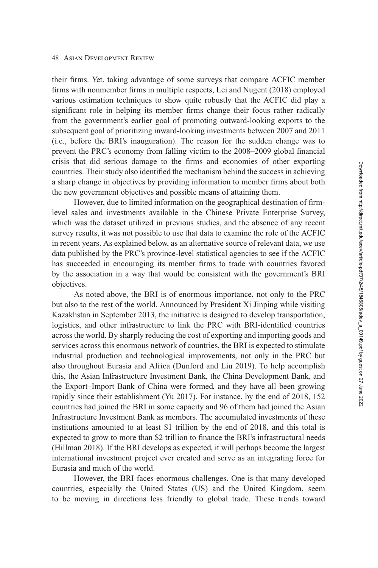#### 48 Asian Development Review

their firms. Yet, taking advantage of some surveys that compare ACFIC member firms with nonmember firms in multiple respects, Lei and Nugent [\(2018\)](#page-28-0) employed various estimation techniques to show quite robustly that the ACFIC did play a significant role in helping its member firms change their focus rather radically from the government's earlier goal of promoting outward-looking exports to the subsequent goal of prioritizing inward-looking investments between 2007 and 2011 (i.e., before the BRI's inauguration). The reason for the sudden change was to prevent the PRC's economy from falling victim to the 2008–2009 global financial crisis that did serious damage to the firms and economies of other exporting countries. Their study also identified the mechanism behind the success in achieving a sharp change in objectives by providing information to member firms about both the new government objectives and possible means of attaining them.

However, due to limited information on the geographical destination of firmlevel sales and investments available in the Chinese Private Enterprise Survey, which was the dataset utilized in previous studies, and the absence of any recent survey results, it was not possible to use that data to examine the role of the ACFIC in recent years. As explained below, as an alternative source of relevant data, we use data published by the PRC's province-level statistical agencies to see if the ACFIC has succeeded in encouraging its member firms to trade with countries favored by the association in a way that would be consistent with the government's BRI objectives.

As noted above, the BRI is of enormous importance, not only to the PRC but also to the rest of the world. Announced by President Xi Jinping while visiting Kazakhstan in September 2013, the initiative is designed to develop transportation, logistics, and other infrastructure to link the PRC with BRI-identified countries across the world. By sharply reducing the cost of exporting and importing goods and services across this enormous network of countries, the BRI is expected to stimulate industrial production and technological improvements, not only in the PRC but also throughout Eurasia and Africa (Dunford and Liu [2019\)](#page-27-0). To help accomplish this, the Asian Infrastructure Investment Bank, the China Development Bank, and the Export–Import Bank of China were formed, and they have all been growing rapidly since their establishment (Yu [2017\)](#page-29-0). For instance, by the end of 2018, 152 countries had joined the BRI in some capacity and 96 of them had joined the Asian Infrastructure Investment Bank as members. The accumulated investments of these institutions amounted to at least \$1 trillion by the end of 2018, and this total is expected to grow to more than \$2 trillion to finance the BRI's infrastructural needs (Hillman [2018\)](#page-28-0). If the BRI develops as expected, it will perhaps become the largest international investment project ever created and serve as an integrating force for Eurasia and much of the world.

However, the BRI faces enormous challenges. One is that many developed countries, especially the United States (US) and the United Kingdom, seem to be moving in directions less friendly to global trade. These trends toward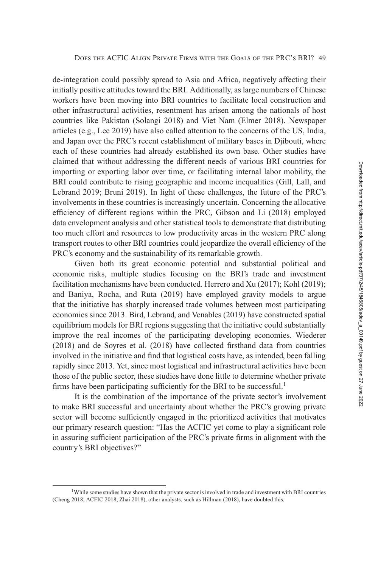de-integration could possibly spread to Asia and Africa, negatively affecting their initially positive attitudes toward the BRI. Additionally, as large numbers of Chinese workers have been moving into BRI countries to facilitate local construction and other infrastructural activities, resentment has arisen among the nationals of host countries like Pakistan (Solangi [2018\)](#page-29-0) and Viet Nam (Elmer [2018\)](#page-27-0). Newspaper articles (e.g., Lee [2019\)](#page-28-0) have also called attention to the concerns of the US, India, and Japan over the PRC's recent establishment of military bases in Djibouti, where each of these countries had already established its own base. Other studies have claimed that without addressing the different needs of various BRI countries for importing or exporting labor over time, or facilitating internal labor mobility, the BRI could contribute to rising geographic and income inequalities (Gill, Lall, and Lebrand [2019;](#page-27-0) Bruni [2019\)](#page-27-0). In light of these challenges, the future of the PRC's involvements in these countries is increasingly uncertain. Concerning the allocative efficiency of different regions within the PRC, Gibson and Li [\(2018\)](#page-27-0) employed data envelopment analysis and other statistical tools to demonstrate that distributing too much effort and resources to low productivity areas in the western PRC along transport routes to other BRI countries could jeopardize the overall efficiency of the PRC's economy and the sustainability of its remarkable growth.

Given both its great economic potential and substantial political and economic risks, multiple studies focusing on the BRI's trade and investment facilitation mechanisms have been conducted. Herrero and Xu [\(2017\)](#page-28-0); Kohl [\(2019\)](#page-28-0); and Baniya, Rocha, and Ruta [\(2019\)](#page-27-0) have employed gravity models to argue that the initiative has sharply increased trade volumes between most participating economies since 2013. Bird, Lebrand, and Venables [\(2019\)](#page-27-0) have constructed spatial equilibrium models for BRI regions suggesting that the initiative could substantially improve the real incomes of the participating developing economies. Wiederer [\(2018\)](#page-29-0) and de Soyres et al. [\(2018\)](#page-27-0) have collected firsthand data from countries involved in the initiative and find that logistical costs have, as intended, been falling rapidly since 2013. Yet, since most logistical and infrastructural activities have been those of the public sector, these studies have done little to determine whether private firms have been participating sufficiently for the BRI to be successful.<sup>1</sup>

It is the combination of the importance of the private sector's involvement to make BRI successful and uncertainty about whether the PRC's growing private sector will become sufficiently engaged in the prioritized activities that motivates our primary research question: "Has the ACFIC yet come to play a significant role in assuring sufficient participation of the PRC's private firms in alignment with the country's BRI objectives?"

<sup>&</sup>lt;sup>1</sup>While some studies have shown that the private sector is involved in trade and investment with BRI countries (Cheng [2018,](#page-27-0) ACFIC [2018,](#page-26-0) Zhai [2018\)](#page-29-0), other analysts, such as Hillman [\(2018\)](#page-28-0), have doubted this.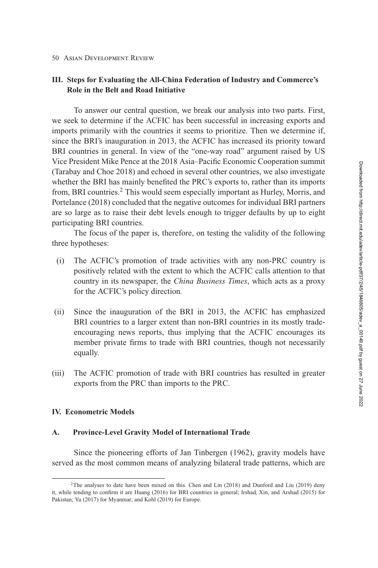#### <span id="page-5-0"></span>50 Asian Development Review

### **III. Steps for Evaluating the All-China Federation of Industry and Commerce's Role in the Belt and Road Initiative**

To answer our central question, we break our analysis into two parts. First, we seek to determine if the ACFIC has been successful in increasing exports and imports primarily with the countries it seems to prioritize. Then we determine if, since the BRI's inauguration in 2013, the ACFIC has increased its priority toward BRI countries in general. In view of the "one-way road" argument raised by US Vice President Mike Pence at the 2018 Asia–Pacific Economic Cooperation summit (Tarabay and Choe [2018\)](#page-29-0) and echoed in several other countries, we also investigate whether the BRI has mainly benefited the PRC's exports to, rather than its imports from, BRI countries.<sup>2</sup> This would seem especially important as Hurley, Morris, and Portelance [\(2018\)](#page-28-0) concluded that the negative outcomes for individual BRI partners are so large as to raise their debt levels enough to trigger defaults by up to eight participating BRI countries.

The focus of the paper is, therefore, on testing the validity of the following three hypotheses:

- (i) The ACFIC's promotion of trade activities with any non-PRC country is positively related with the extent to which the ACFIC calls attention to that country in its newspaper, the *China Business Times*, which acts as a proxy for the ACFIC's policy direction*.*
- (ii) Since the inauguration of the BRI in 2013, the ACFIC has emphasized BRI countries to a larger extent than non-BRI countries in its mostly tradeencouraging news reports, thus implying that the ACFIC encourages its member private firms to trade with BRI countries, though not necessarily equally.
- (iii) The ACFIC promotion of trade with BRI countries has resulted in greater exports from the PRC than imports to the PRC.

### **IV. Econometric Models**

### **A. Province-Level Gravity Model of International Trade**

Since the pioneering efforts of Jan Tinbergen [\(1962\)](#page-29-0), gravity models have served as the most common means of analyzing bilateral trade patterns, which are

<sup>2</sup>The analyses to date have been mixed on this. Chen and Lin [\(2018\)](#page-27-0) and Dunford and Liu [\(2019\)](#page-27-0) deny it, while tending to confirm it are Huang [\(2016\)](#page-28-0) for BRI countries in general; Irshad, Xin, and Arshad [\(2015\)](#page-28-0) for Pakistan; Yu [\(2017\)](#page-29-0) for Myanmar; and Kohl [\(2019\)](#page-28-0) for Europe.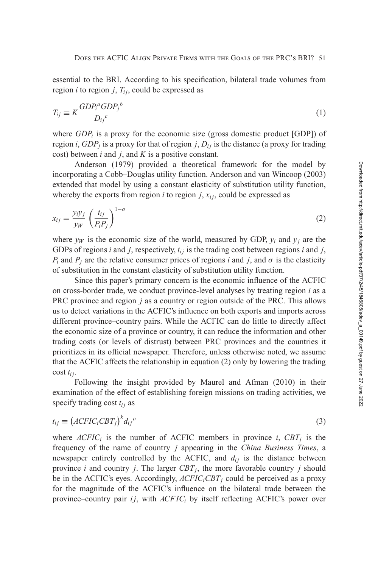<span id="page-6-0"></span>essential to the BRI. According to his specification, bilateral trade volumes from region *i* to region *j*,  $T_{ij}$ , could be expressed as

$$
T_{ij} \equiv K \frac{GDP_i^a GDP_j^b}{D_{ij}^c} \tag{1}
$$

where  $GDP_i$  is a proxy for the economic size (gross domestic product [GDP]) of region *i*,  $GDP<sub>i</sub>$  is a proxy for that of region *j*,  $D<sub>ij</sub>$  is the distance (a proxy for trading cost) between *i* and *j*, and *K* is a positive constant.

Anderson [\(1979\)](#page-26-0) provided a theoretical framework for the model by incorporating a Cobb–Douglas utility function. Anderson and van Wincoop [\(2003\)](#page-26-0) extended that model by using a constant elasticity of substitution utility function, whereby the exports from region  $i$  to region  $j$ ,  $x_{ij}$ , could be expressed as

$$
x_{ij} = \frac{y_i y_j}{y_W} \left(\frac{t_{ij}}{P_i P_j}\right)^{1-\sigma} \tag{2}
$$

where  $y_W$  is the economic size of the world, measured by GDP,  $y_i$  and  $y_j$  are the GDPs of regions  $i$  and  $j$ , respectively,  $t_{ij}$  is the trading cost between regions  $i$  and  $j$ , *P<sub>i</sub>* and *P<sub>j</sub>* are the relative consumer prices of regions *i* and *j*, and  $\sigma$  is the elasticity of substitution in the constant elasticity of substitution utility function.

Since this paper's primary concern is the economic influence of the ACFIC on cross-border trade, we conduct province-level analyses by treating region *i* as a PRC province and region *j* as a country or region outside of the PRC. This allows us to detect variations in the ACFIC's influence on both exports and imports across different province–country pairs. While the ACFIC can do little to directly affect the economic size of a province or country, it can reduce the information and other trading costs (or levels of distrust) between PRC provinces and the countries it prioritizes in its official newspaper. Therefore, unless otherwise noted, we assume that the ACFIC affects the relationship in equation (2) only by lowering the trading cost *ti j*.

Following the insight provided by Maurel and Afman [\(2010\)](#page-28-0) in their examination of the effect of establishing foreign missions on trading activities, we specify trading cost  $t_{ij}$  as

$$
t_{ij} \equiv \left(ACFIC_iCBT_j\right)^k d_{ij}^{\ \rho} \tag{3}
$$

where  $ACFIC<sub>i</sub>$  is the number of ACFIC members in province *i*,  $CBT<sub>i</sub>$  is the frequency of the name of country *j* appearing in the *China Business Times*, a newspaper entirely controlled by the ACFIC, and  $d_{ij}$  is the distance between province *i* and country *j*. The larger  $CBT_j$ , the more favorable country *j* should be in the ACFIC's eyes. Accordingly,  $ACFIC_iCBT_i$  could be perceived as a proxy for the magnitude of the ACFIC's influence on the bilateral trade between the province–country pair  $ij$ , with  $ACFIC<sub>i</sub>$  by itself reflecting ACFIC's power over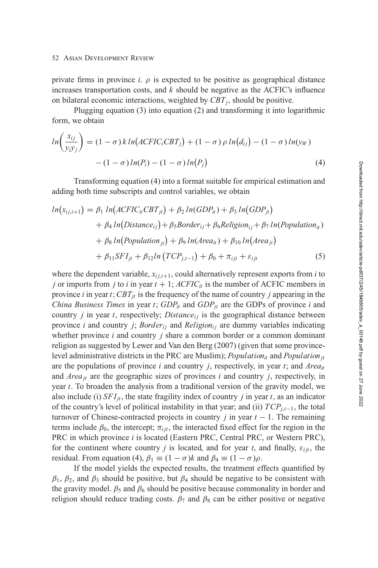#### <span id="page-7-0"></span>52 Asian Development Review

private firms in province *i*.  $\rho$  is expected to be positive as geographical distance increases transportation costs, and *k* should be negative as the ACFIC's influence on bilateral economic interactions, weighted by  $CBT_i$ , should be positive.

Plugging [equation \(3\)](#page-6-0) into [equation \(2\)](#page-6-0) and transforming it into logarithmic form, we obtain

$$
ln\left(\frac{x_{ij}}{y_i y_j}\right) = (1 - \sigma) k ln\left(ACFIC_iCBT_j\right) + (1 - \sigma) \rho ln(d_{ij}) - (1 - \sigma)ln(y_W) - (1 - \sigma)ln(P_i) - (1 - \sigma)ln(P_j)
$$
\n(4)

Transforming equation (4) into a format suitable for empirical estimation and adding both time subscripts and control variables, we obtain

$$
ln(x_{ij,t+1}) = \beta_1 ln(ACFIC_{it}CBT_{jt}) + \beta_2 ln(GDP_{it}) + \beta_3 ln(GDP_{jt})
$$
  
+  $\beta_4 ln(Distance_{ij}) + \beta_5 Border_{ij} + \beta_6 Religion_{ij} + \beta_7 ln(Population_{it})$   
+  $\beta_8 ln(Population_{jt}) + \beta_9 ln(Area_{it}) + \beta_{10} ln(Area_{jt})$   
+  $\beta_{11} SFI_{jt} + \beta_{12} ln(TCP_{j,t-1}) + \beta_0 + \pi_{ijt} + \varepsilon_{ijt}$  (5)

where the dependent variable,  $x_{ij,t+1}$ , could alternatively represent exports from *i* to *j* or imports from *j* to *i* in year  $t + 1$ ;  $ACFIC<sub>it</sub>$  is the number of ACFIC members in province *i* in year *t*;  $CBT_{it}$  is the frequency of the name of country *j* appearing in the *China Business Times* in year *t*;  $GDP_{it}$  and  $GDP_{jt}$  are the GDPs of province *i* and country  $j$  in year  $t$ , respectively; *Distance*<sub>ii</sub> is the geographical distance between province *i* and country *j*; *Border<sub>ij</sub>* and *Religion<sub>ij</sub>* are dummy variables indicating whether province *i* and country *j* share a common border or a common dominant religion as suggested by Lewer and Van den Berg [\(2007\)](#page-28-0) (given that some provincelevel administrative districts in the PRC are Muslim); *Population<sub>it</sub>* and *Population*<sub>it</sub> are the populations of province *i* and country *j*, respectively, in year *t*; and *Areait* and  $Area_{it}$  are the geographic sizes of provinces *i* and country *j*, respectively, in year *t*. To broaden the analysis from a traditional version of the gravity model, we also include (i)  $SFI_{it}$ , the state fragility index of country *j* in year *t*, as an indicator of the country's level of political instability in that year; and (ii) *TCPj*,*t*−1, the total turnover of Chinese-contracted projects in country *j* in year  $t - 1$ . The remaining terms include  $\beta_0$ , the intercept;  $\pi_{ijt}$ , the interacted fixed effect for the region in the PRC in which province *i* is located (Eastern PRC, Central PRC, or Western PRC), for the continent where country *j* is located, and for year *t*, and finally,  $\varepsilon_{iit}$ , the residual. From equation (4),  $\beta_1 \equiv (1 - \sigma)k$  and  $\beta_4 \equiv (1 - \sigma)\rho$ .

If the model yields the expected results, the treatment effects quantified by  $\beta_1$ ,  $\beta_2$ , and  $\beta_3$  should be positive, but  $\beta_4$  should be negative to be consistent with the gravity model.  $\beta_5$  and  $\beta_6$  should be positive because commonality in border and religion should reduce trading costs.  $\beta_7$  and  $\beta_8$  can be either positive or negative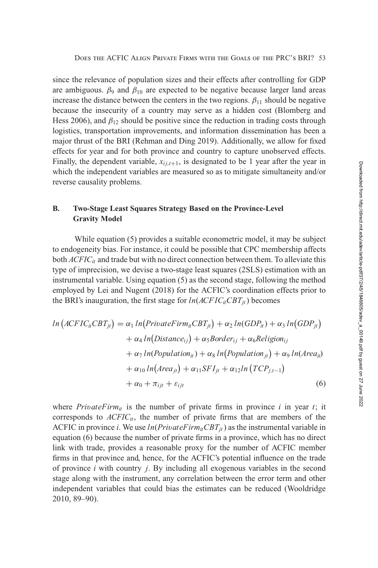<span id="page-8-0"></span>since the relevance of population sizes and their effects after controlling for GDP are ambiguous.  $\beta_9$  and  $\beta_{10}$  are expected to be negative because larger land areas increase the distance between the centers in the two regions.  $\beta_{11}$  should be negative because the insecurity of a country may serve as a hidden cost (Blomberg and Hess [2006\)](#page-27-0), and  $\beta_{12}$  should be positive since the reduction in trading costs through logistics, transportation improvements, and information dissemination has been a major thrust of the BRI (Rehman and Ding [2019\)](#page-29-0). Additionally, we allow for fixed effects for year and for both province and country to capture unobserved effects. Finally, the dependent variable,  $x_{i,i,t+1}$ , is designated to be 1 year after the year in which the independent variables are measured so as to mitigate simultaneity and/or reverse causality problems.

### **B. Two-Stage Least Squares Strategy Based on the Province-Level Gravity Model**

While [equation \(5\)](#page-7-0) provides a suitable econometric model, it may be subject to endogeneity bias. For instance, it could be possible that CPC membership affects both  $ACFIC_{it}$  and trade but with no direct connection between them. To alleviate this type of imprecision, we devise a two-stage least squares (2SLS) estimation with an instrumental variable. Using [equation \(5\)](#page-7-0) as the second stage, following the method employed by Lei and Nugent [\(2018\)](#page-28-0) for the ACFIC's coordination effects prior to the BRI's inauguration, the first stage for  $ln(ACFIC<sub>it</sub>CH<sub>it</sub>)$  becomes

$$
ln (ACFIC_{it}CBT_{jt}) = \alpha_1 ln(PrivateFirm_{it}CBT_{jt}) + \alpha_2 ln(GDP_{it}) + \alpha_3 ln(GDP_{jt})
$$
  
+  $\alpha_4 ln(Distance_{ij}) + \alpha_5 Border_{ij} + \alpha_6 Religion_{ij}$   
+  $\alpha_7 ln(Population_{it}) + \alpha_8 ln(Population_{jt}) + \alpha_9 ln(Area_{it})$   
+  $\alpha_{10} ln(Area_{jt}) + \alpha_{11} SFI_{jt} + \alpha_{12} ln(TCP_{j,t-1})$   
+  $\alpha_0 + \pi_{ijt} + \varepsilon_{ijt}$  (6)

where *PrivateFirm*<sub>it</sub> is the number of private firms in province *i* in year *t*; it corresponds to  $ACFIC_{it}$ , the number of private firms that are members of the ACFIC in province *i*. We use  $ln(PrivateFirm_{it}CBT_{it})$  as the instrumental variable in equation (6) because the number of private firms in a province, which has no direct link with trade, provides a reasonable proxy for the number of ACFIC member firms in that province and, hence, for the ACFIC's potential influence on the trade of province *i* with country *j*. By including all exogenous variables in the second stage along with the instrument, any correlation between the error term and other independent variables that could bias the estimates can be reduced (Wooldridge [2010,](#page-29-0) 89–90).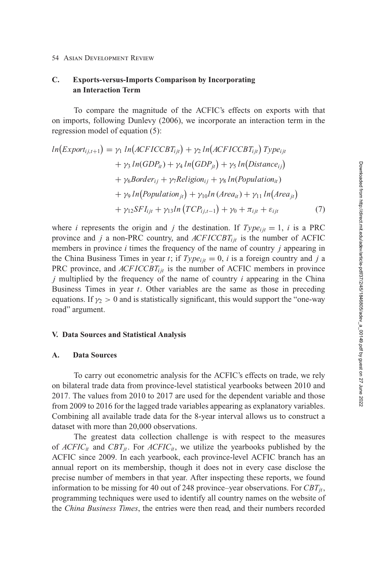### <span id="page-9-0"></span>**C. Exports-versus-Imports Comparison by Incorporating an Interaction Term**

To compare the magnitude of the ACFIC's effects on exports with that on imports, following Dunlevy [\(2006\)](#page-27-0), we incorporate an interaction term in the regression model of [equation \(5\):](#page-7-0)

$$
ln(Export_{ij,t+1}) = \gamma_1 ln(ACFICCBT_{ijt}) + \gamma_2 ln(ACFICCBT_{ijt}) Type_{ijt}
$$
  
+  $\gamma_3 ln(GDP_{it}) + \gamma_4 ln(GDP_{jt}) + \gamma_5 ln(Distance_{ij})$   
+  $\gamma_6 Border_{ij} + \gamma_7 Religion_{ij} + \gamma_8 ln(Population_{it})$   
+  $\gamma_9 ln(Population_{jt}) + \gamma_{10} ln(Area_{it}) + \gamma_{11} ln(Area_{jt})$   
+  $\gamma_{12} SFI_{ijt} + \gamma_{13} ln(TCP_{ij,t-1}) + \gamma_0 + \pi_{ijt} + \varepsilon_{ijt}$  (7)

where *i* represents the origin and *j* the destination. If  $Type_{ijt} = 1$ , *i* is a PRC province and  $j$  a non-PRC country, and  $ACFICCBT_{ijt}$  is the number of ACFIC members in province *i* times the frequency of the name of country *j* appearing in the China Business Times in year *t*; if  $Type_{ii} = 0$ , *i* is a foreign country and *j* a PRC province, and *ACFICCBT<sub>ijt</sub>* is the number of ACFIC members in province *j* multiplied by the frequency of the name of country *i* appearing in the China Business Times in year *t*. Other variables are the same as those in preceding equations. If  $\gamma_2 > 0$  and is statistically significant, this would support the "one-way" road" argument.

### **V. Data Sources and Statistical Analysis**

#### **A. Data Sources**

To carry out econometric analysis for the ACFIC's effects on trade, we rely on bilateral trade data from province-level statistical yearbooks between 2010 and 2017. The values from 2010 to 2017 are used for the dependent variable and those from 2009 to 2016 for the lagged trade variables appearing as explanatory variables. Combining all available trade data for the 8-year interval allows us to construct a dataset with more than 20,000 observations.

The greatest data collection challenge is with respect to the measures of  $ACFIC_{it}$  and  $CBT_{it}$ . For  $ACFIC_{it}$ , we utilize the yearbooks published by the ACFIC since 2009. In each yearbook, each province-level ACFIC branch has an annual report on its membership, though it does not in every case disclose the precise number of members in that year. After inspecting these reports, we found information to be missing for 40 out of 248 province–year observations. For  $CBT_{it}$ , programming techniques were used to identify all country names on the website of the *China Business Times*, the entries were then read, and their numbers recorded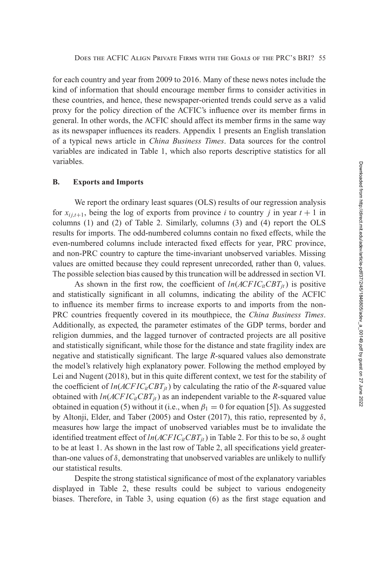for each country and year from 2009 to 2016. Many of these news notes include the kind of information that should encourage member firms to consider activities in these countries, and hence, these newspaper-oriented trends could serve as a valid proxy for the policy direction of the ACFIC's influence over its member firms in general. In other words, the ACFIC should affect its member firms in the same way as its newspaper influences its readers. Appendix 1 presents an English translation of a typical news article in *China Business Times*. Data sources for the control variables are indicated in Table [1,](#page-11-0) which also reports descriptive statistics for all variables.

### **B. Exports and Imports**

We report the ordinary least squares (OLS) results of our regression analysis for  $x_{i,i,t+1}$ , being the log of exports from province *i* to country *j* in year  $t + 1$  in columns [\(1\)](#page-6-0) and [\(2\)](#page-6-0) of Table [2.](#page-12-0) Similarly, columns [\(3\)](#page-6-0) and [\(4\)](#page-7-0) report the OLS results for imports. The odd-numbered columns contain no fixed effects, while the even-numbered columns include interacted fixed effects for year, PRC province, and non-PRC country to capture the time-invariant unobserved variables. Missing values are omitted because they could represent unrecorded, rather than 0, values. The possible selection bias caused by this truncation will be addressed in [section VI.](#page-16-0)

As shown in the first row, the coefficient of  $ln(ACFIC<sub>it</sub>CBT<sub>it</sub>)$  is positive and statistically significant in all columns, indicating the ability of the ACFIC to influence its member firms to increase exports to and imports from the non-PRC countries frequently covered in its mouthpiece, the *China Business Times*. Additionally, as expected, the parameter estimates of the GDP terms, border and religion dummies, and the lagged turnover of contracted projects are all positive and statistically significant, while those for the distance and state fragility index are negative and statistically significant. The large *R-*squared values also demonstrate the model's relatively high explanatory power. Following the method employed by Lei and Nugent [\(2018\)](#page-28-0), but in this quite different context, we test for the stability of the coefficient of  $ln(ACFIC<sub>it</sub>CBT<sub>it</sub>)$  by calculating the ratio of the *R*-squared value obtained with  $ln(ACFIC<sub>it</sub>CBT<sub>it</sub>)$  as an independent variable to the *R*-squared value obtained in [equation \(5\)](#page-7-0) without it (i.e., when  $\beta_1 = 0$  for equation [5]). As suggested by Altonji, Elder, and Taber [\(2005\)](#page-26-0) and Oster [\(2017\)](#page-29-0), this ratio, represented by  $\delta$ , measures how large the impact of unobserved variables must be to invalidate the identified treatment effect of  $ln(ACFIC<sub>it</sub>CH<sub>it</sub>)$  in Table [2.](#page-12-0) For this to be so,  $\delta$  ought to be at least 1. As shown in the last row of Table [2,](#page-12-0) all specifications yield greaterthan-one values of  $\delta$ , demonstrating that unobserved variables are unlikely to nullify our statistical results.

Despite the strong statistical significance of most of the explanatory variables displayed in Table [2,](#page-12-0) these results could be subject to various endogeneity biases. Therefore, in Table [3,](#page-13-0) using [equation \(6\)](#page-8-0) as the first stage equation and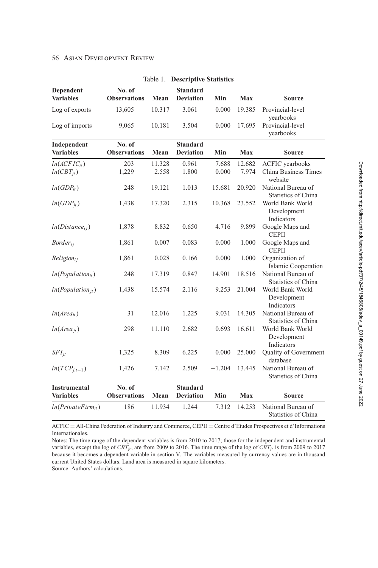### <span id="page-11-0"></span>**56 ASIAN DEVELOPMENT REVIEW**

l,

| Dependent<br><b>Variables</b>   | No. of<br><b>Observations</b> | Mean   | <b>Standard</b><br><b>Deviation</b> | Min      | Max    | Source                                           |
|---------------------------------|-------------------------------|--------|-------------------------------------|----------|--------|--------------------------------------------------|
| Log of exports                  | 13,605                        | 10.317 | 3.061                               | 0.000    | 19.385 | Provincial-level<br>yearbooks                    |
| Log of imports                  | 9,065                         | 10.181 | 3.504                               | 0.000    | 17.695 | Provincial-level<br>yearbooks                    |
| Independent<br><b>Variables</b> | No. of<br><b>Observations</b> | Mean   | <b>Standard</b><br><b>Deviation</b> | Min      | Max    | Source                                           |
| $ln(ACFIC_{it})$                | 203                           | 11.328 | 0.961                               | 7.688    | 12.682 | <b>ACFIC</b> yearbooks                           |
| $ln(CBT_{it})$                  | 1,229                         | 2.558  | 1.800                               | 0.000    | 7.974  | China Business Times<br>website                  |
| $ln(GDP_{it})$                  | 248                           | 19.121 | 1.013                               | 15.681   | 20.920 | National Bureau of<br><b>Statistics of China</b> |
| $ln(GDP_{it})$                  | 1,438                         | 17.320 | 2.315                               | 10.368   | 23.552 | World Bank World<br>Development<br>Indicators    |
| $ln(Distance_{ij})$             | 1,878                         | 8.832  | 0.650                               | 4.716    | 9.899  | Google Maps and<br><b>CEPII</b>                  |
| $Border_{ii}$                   | 1,861                         | 0.007  | 0.083                               | 0.000    | 1.000  | Google Maps and<br><b>CEPII</b>                  |
| $Religion_{ii}$                 | 1,861                         | 0.028  | 0.166                               | 0.000    | 1.000  | Organization of<br><b>Islamic Cooperation</b>    |
| $ln(Population_{it})$           | 248                           | 17.319 | 0.847                               | 14.901   | 18.516 | National Bureau of<br><b>Statistics of China</b> |
| $ln(Population_{it})$           | 1,438                         | 15.574 | 2.116                               | 9.253    | 21.004 | World Bank World<br>Development<br>Indicators    |
| $ln(Area_{it})$                 | 31                            | 12.016 | 1.225                               | 9.031    | 14.305 | National Bureau of<br><b>Statistics of China</b> |
| $ln(Area_{it})$                 | 298                           | 11.110 | 2.682                               | 0.693    | 16.611 | World Bank World<br>Development<br>Indicators    |
| $SFI_{it}$                      | 1,325                         | 8.309  | 6.225                               | 0.000    | 25.000 | Quality of Government<br>database                |
| $ln(TCP_{j,t-1})$               | 1,426                         | 7.142  | 2.509                               | $-1.204$ | 13.445 | National Bureau of<br><b>Statistics of China</b> |
| <b>Instrumental</b>             | No. of                        |        | <b>Standard</b>                     |          |        |                                                  |
| <b>Variables</b>                | <b>Observations</b>           | Mean   | <b>Deviation</b>                    | Min      | Max    | Source                                           |
| $ln(PrivateFirm_{it})$          | 186                           | 11.934 | 1.244                               | 7.312    | 14.253 | National Bureau of<br>Statistics of China        |

|  | <b>Table 1. Descriptive Statistics</b> |  |
|--|----------------------------------------|--|
|--|----------------------------------------|--|

ACFIC = All-China Federation of Industry and Commerce, CEPII = Centre d'Etudes Prospectives et d'Informations Internationales.

Notes: The time range of the dependent variables is from 2010 to 2017; those for the independent and instrumental variables, except the log of  $CBT_{jt}$ , are from 2009 to 2016. The time range of the log of  $CBT_{jt}$  is from 2009 to 2017 because it becomes a dependent variable in section V. The variables measured by currency values are in thousand current United States dollars. Land area is measured in square kilometers.

Source: Authors' calculations.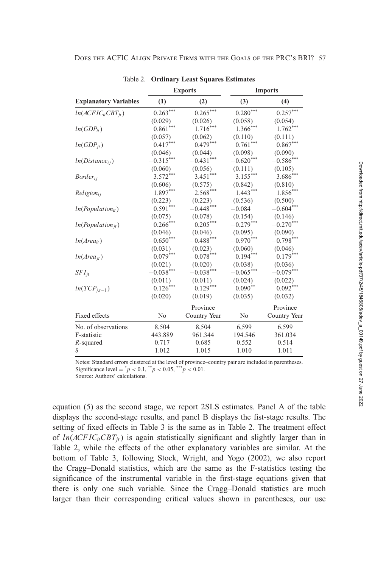|                              |              | Table 2. Ordinary Least Squares Estimates |                    |                |
|------------------------------|--------------|-------------------------------------------|--------------------|----------------|
|                              |              | <b>Exports</b>                            |                    | <b>Imports</b> |
| <b>Explanatory Variables</b> | (1)          | (2)                                       | (3)                | (4)            |
| $ln(ACFIC_{it}CBT_{it})$     | $0.263***$   | $0.265***$                                | $0.280***$         | $0.257***$     |
|                              | (0.029)      | (0.026)                                   | (0.058)            | (0.054)        |
| $ln(GDP_{it})$               | ***<br>0.861 | $1.716***$                                | $1.366***$         | $1.762***$     |
|                              | (0.057)      | (0.062)                                   | (0.110)            | (0.111)        |
| $ln(GDP_{it})$               | $0.417***$   | $0.479***$                                | 0.761              | $0.867***$     |
|                              | (0.046)      | (0.044)                                   | (0.098)            |                |
| $ln(Distance_{ij})$          | $-0.315***$  | $-0.431***$                               | $-0.620***$        | $-0.586$ ***   |
|                              | (0.060)      | (0.056)                                   | (0.111)            | (0.105)        |
| $Border_{ii}$                | $3.572***$   | $3.451***$                                | $3.155***$         | $3.686***$     |
|                              | (0.606)      | (0.575)                                   | (0.842)            | (0.810)        |
| $Religion_{ii}$              | $1.897***$   | $2.568***$                                | $1.443***$         | $1.856***$     |
|                              | (0.223)      | (0.223)                                   | (0.536)            | (0.500)        |
| $ln(Population_{it})$        | $0.591***$   | $-0.448***$                               | $-0.084$           | $-0.604***$    |
|                              | (0.075)      | (0.078)                                   | (0.154)            | (0.146)        |
| $ln(Population_{it})$        | $0.266***$   | $0.205***$                                | $-0.279***$        | $-0.270***$    |
|                              | (0.046)      | (0.046)                                   | (0.095)            | (0.090)        |
| $ln(Area_{it})$              | $-0.650***$  | $-0.488$ ***                              | $-0.970***$        | $-0.798***$    |
|                              | (0.031)      | (0.023)                                   | (0.060)<br>(0.046) |                |
| $ln(Area_{it})$              | $-0.079***$  | $-0.078***$                               | $0.194***$         | $0.179***$     |
|                              | (0.021)      | (0.020)                                   | (0.038)<br>(0.036) |                |
| $SFI_{it}$                   | $-0.038***$  | $-0.038***$                               | $-0.065***$        | $-0.079***$    |
|                              | (0.011)      | (0.011)                                   | (0.024)            | (0.022)        |
| $ln(TCP_{j,t-1})$            | $0.126***$   | $0.129***$                                | $0.090**$          | $0.092***$     |
|                              | (0.020)      | (0.019)                                   | (0.035)            | (0.032)        |
|                              |              | Province                                  |                    | Province       |
| <b>Fixed effects</b>         | No           | Country Year                              | N <sub>0</sub>     | Country Year   |
| No. of observations          | 8,504        | 8,504                                     | 6,599              | 6,599          |
| F-statistic                  | 443.889      | 961.344                                   | 194.546            | 361.034        |
| R-squared                    | 0.717        | 0.685                                     | 0.552              | 0.514          |
| $\delta$                     | 1.012        | 1.015                                     | 1.010              | 1.011          |
|                              |              |                                           |                    |                |

<span id="page-12-0"></span>Does the ACFIC Align Private Firms with the Goals of the PRC's BRI? 57

Table 2. **Ordinary Least Squares Estimates**

Notes: Standard errors clustered at the level of province–country pair are included in parentheses. Significance level =  $^{*}p$  < 0.1,  $^{*}p$  < 0.05,  $^{***}p$  < 0.01.

Source: Authors' calculations.

[equation \(5\)](#page-7-0) as the second stage, we report 2SLS estimates. Panel A of the table displays the second-stage results, and panel B displays the fist-stage results. The setting of fixed effects in Table [3](#page-13-0) is the same as in Table 2. The treatment effect of  $ln(ACFIC<sub>it</sub>CBT<sub>it</sub>)$  is again statistically significant and slightly larger than in Table 2, while the effects of the other explanatory variables are similar. At the bottom of Table [3,](#page-13-0) following Stock, Wright, and Yogo [\(2002\)](#page-29-0), we also report the Cragg–Donald statistics, which are the same as the F-statistics testing the significance of the instrumental variable in the first-stage equations given that there is only one such variable. Since the Cragg–Donald statistics are much larger than their corresponding critical values shown in parentheses, our use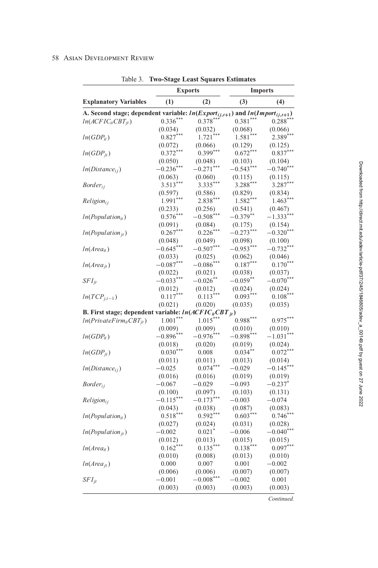### <span id="page-13-0"></span>58 ASIAN DEVELOPMENT REVIEW

|                                                                                      |                       | <b>Exports</b>       |               | <b>Imports</b>       |
|--------------------------------------------------------------------------------------|-----------------------|----------------------|---------------|----------------------|
| <b>Explanatory Variables</b>                                                         | (1)                   | (2)                  | (3)           | (4)                  |
| A. Second stage; dependent variable: $ln(Expert_{ij,t+1})$ and $ln(Import_{ij,t+1})$ |                       |                      |               |                      |
| $ln(ACFICitCBTit)$                                                                   | $0.336***$            | $0.378***$           | $0.381***$    | $0.288$ <sup>*</sup> |
|                                                                                      | (0.034)               | (0.032)              | (0.068)       | (0.066)              |
| $ln(GDP_{it})$                                                                       | $0.827***$            | $1.721***$           | 1.581         | $2.389***$           |
|                                                                                      | (0.072)               | (0.066)              | (0.129)       | (0.125)              |
| $ln(GDP_{it})$                                                                       | $0.372***$            | $0.399***$           | $0.672***$    | $0.837***$           |
|                                                                                      | (0.050)               | (0.048)              | (0.103)       | (0.104)              |
| $ln(Distance_{ij})$                                                                  | $-0.236***$           | $-0.271***$          | $-0.543***$   | $-0.740***$          |
|                                                                                      | (0.063)               | (0.060)              | (0.115)       | (0.115)              |
| $Border_{ij}$                                                                        | $3.513***$            | $3.335***$           | $3.288***$    | $3.287***$           |
|                                                                                      | (0.597)               | (0.586)              | (0.829)       | (0.834)              |
| $Religion_{ii}$                                                                      | $1.991***$            | $2.838***$           | $1.582***$    | $1.463***$           |
|                                                                                      | (0.233)               | (0.256)              | (0.541)       | (0.467)              |
| $ln(Population_{it})$                                                                | $0.576***$            | $-0.508***$          | $-0.379***$   | $-1.333***$          |
|                                                                                      |                       | (0.084)              | (0.175)       | (0.154)              |
|                                                                                      | (0.091)<br>$0.267***$ | $0.226***$           | $-0.273***$   | $-0.320***$          |
| $ln(Population_{jt})$                                                                |                       |                      |               |                      |
|                                                                                      | (0.048)               | (0.049)              | (0.098)       | (0.100)              |
| $ln(Area_{it})$                                                                      | $-0.645***$           | $-0.507***$          | $-0.953***$   | $-0.732***$          |
|                                                                                      | (0.033)               | (0.025)              | (0.062)       | (0.046)              |
| $ln(Area_{it})$                                                                      | $-0.087***$           | $-0.086$ ***         | $0.187***$    | $0.170***$           |
|                                                                                      | (0.022)               | (0.021)              | (0.038)       | (0.037)              |
| $SFI_{it}$                                                                           | $-0.033***$           | $-0.026$ $\degree$   | $-0.059***$   | $-0.070***$          |
|                                                                                      | (0.012)               | (0.012)              | (0.024)       | (0.024)              |
| $ln(TCP_{i,t-1})$                                                                    | $0.117***$            | $0.113***$           | $0.093***$    | $0.108***$           |
|                                                                                      | (0.021)               | (0.020)              | (0.035)       | (0.035)              |
| <b>B.</b> First stage; dependent variable: $ln(ACFICitCBTit)$                        |                       |                      |               |                      |
| $ln(PrivateFirm_{it}CBT_{it})$                                                       | $1.001***$            | $1.015***$           | $0.988***$    | $0.975***$           |
|                                                                                      | (0.009)               | (0.009)              | (0.010)       | (0.010)              |
| $ln(GDP_{it})$                                                                       | $-0.896***$           | $-0.976***$          | $-0.898^\ast$ | $-1.031***$          |
|                                                                                      | (0.018)               | (0.020)              | (0.019)       | (0.024)              |
| $ln(GDP_{it})$                                                                       | $0.030***$            | 0.008                | $0.034***$    | $0.072$ <sup>*</sup> |
|                                                                                      | (0.011)               | (0.011)              | (0.013)       | (0.014)              |
| $ln(Distance_{ij})$                                                                  | $-0.025$              | $0.074***$           | $-0.029$      | $-0.145***$          |
|                                                                                      | (0.016)               | (0.016)              | (0.019)       | (0.019)              |
| $Border_{ii}$                                                                        | $-0.067$              | $-0.029$             | $-0.093$      | $-0.237$             |
|                                                                                      | (0.100)               | (0.097)              | (0.103)       | (0.131)              |
| $Religion_{ij}$                                                                      | $-0.115***$           | $-0.173***$          | $-0.003$      | $-0.074$             |
|                                                                                      | (0.043)               | (0.038)              | (0.087)       | (0.083)              |
| $ln(Population_{it})$                                                                | $0.518***$            | $0.592*$             | $0.603***$    | $0.746***$           |
|                                                                                      | (0.027)               | (0.024)              | (0.031)       | (0.028)              |
| $ln(Population_{it})$                                                                | $-0.002$              | $0.021$ <sup>*</sup> | $-0.006$      | $-0.040***$          |
|                                                                                      | (0.012)               | (0.013)              | (0.015)       | (0.015)              |
| $ln(Area_{it})$                                                                      | $0.162^*$             | $0.135*$             | $0.138*$      | $0.097***$           |
|                                                                                      | (0.010)               | (0.008)              | (0.013)       | (0.010)              |
| $ln(Area_{it})$                                                                      | 0.000                 | 0.007                | 0.001         | $-0.002$             |
|                                                                                      | (0.006)               | (0.006)              | (0.007)       | (0.007)              |
| $SFI_{jt}$                                                                           | $-0.001$              | $-0.008$             | $-0.002$      | 0.001                |
|                                                                                      | (0.003)               | (0.003)              | (0.003)       | (0.003)              |
|                                                                                      |                       |                      |               |                      |

Table 3. Two-Stage Least Squares Estimates

Downloaded from http://direct.mit.edu/adev/article-pdf/37/2/45/1846805/adev\_a\_00149.pdf by guest on 27 June 2022

Continued.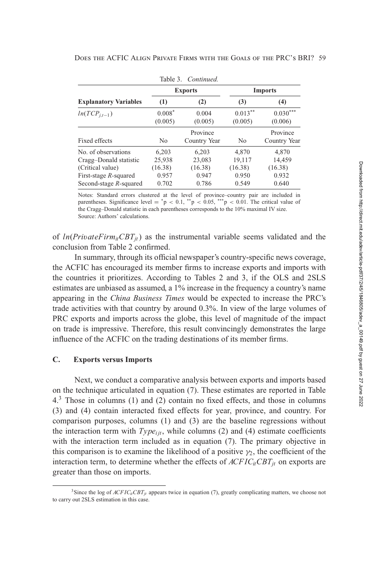| DOES THE ACFIC ALIGN PRIVATE FIRMS WITH THE GOALS OF THE PRC'S BRI? 59 |  |  |
|------------------------------------------------------------------------|--|--|
|                                                                        |  |  |

|                                              |                                              | <b>Imports</b>                               |                                              |  |
|----------------------------------------------|----------------------------------------------|----------------------------------------------|----------------------------------------------|--|
| (1)                                          | (2)                                          | (3)                                          | (4)                                          |  |
| $0.008*$<br>(0.005)                          | 0.004<br>(0.005)                             | $0.013***$<br>(0.005)                        | $0.030***$<br>(0.006)                        |  |
| No                                           | Province<br>Country Year                     | N <sub>0</sub>                               | Province<br>Country Year                     |  |
| 6,203<br>25,938<br>(16.38)<br>0.957<br>0.702 | 6,203<br>23,083<br>(16.38)<br>0.947<br>0.786 | 4,870<br>19,117<br>(16.38)<br>0.950<br>0.549 | 4,870<br>14,459<br>(16.38)<br>0.932<br>0.640 |  |
|                                              |                                              | Table 3. Continued.<br><b>Exports</b>        |                                              |  |

Notes: Standard errors clustered at the level of province–country pair are included in parentheses. Significance level =  $\degree{p}$  < 0.1,  $\degree{p}$  < 0.05,  $\degree{p}$  < 0.01. The critical value of the Cragg–Donald statistic in each parentheses corresponds to the 10% maximal IV size. Source: Authors' calculations.

of  $ln(PrivateFirm_{it}CBT_{it})$  as the instrumental variable seems validated and the conclusion from Table [2](#page-12-0) confirmed.

In summary, through its official newspaper's country-specific news coverage, the ACFIC has encouraged its member firms to increase exports and imports with the countries it prioritizes. According to Tables [2](#page-12-0) and [3,](#page-13-0) if the OLS and 2SLS estimates are unbiased as assumed, a 1% increase in the frequency a country's name appearing in the *China Business Times* would be expected to increase the PRC's trade activities with that country by around 0.3%. In view of the large volumes of PRC exports and imports across the globe, this level of magnitude of the impact on trade is impressive. Therefore, this result convincingly demonstrates the large influence of the ACFIC on the trading destinations of its member firms.

### **C. Exports versus Imports**

Next, we conduct a comparative analysis between exports and imports based [on the technique articulated in](#page-15-0) [equation \(7\)](#page-9-0)[. These estimates are reported in Table](#page-15-0) 4.<sup>3</sup> Those in columns [\(1\)](#page-6-0) and [\(2\)](#page-6-0) contain no fixed effects, and those in columns [\(3\)](#page-6-0) and [\(4\)](#page-7-0) contain interacted fixed effects for year, province, and country. For comparison purposes, columns [\(1\)](#page-6-0) and [\(3\)](#page-6-0) are the baseline regressions without the interaction term with  $Type_{iit}$ , while columns [\(2\)](#page-6-0) and [\(4\)](#page-7-0) estimate coefficients with the interaction term included as in [equation \(7\).](#page-9-0) The primary objective in this comparison is to examine the likelihood of a positive  $\gamma_2$ , the coefficient of the interaction term, to determine whether the effects of  $ACFIC_{it}CBT_{jt}$  on exports are greater than those on imports.

<sup>&</sup>lt;sup>3</sup>Since the log of  $ACFIC_{it}CBT_{it}$  appears twice in [equation \(7\),](#page-9-0) greatly complicating matters, we choose not to carry out 2SLS estimation in this case.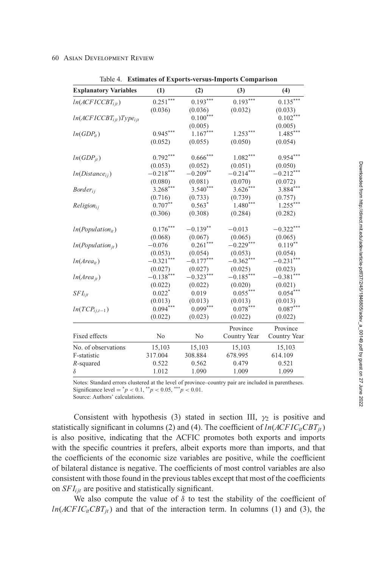<span id="page-15-0"></span>

| <b>Explanatory Variables</b>   | (1)          | (2)         | (3)          | (4)          |
|--------------------------------|--------------|-------------|--------------|--------------|
| $ln(ACFICCBT_{ijt})$           | $0.251***$   | $0.193***$  | $0.193***$   | $0.135***$   |
|                                | (0.036)      | (0.036)     | (0.032)      | (0.033)      |
| $ln(ACFICCBT_{ijt})Type_{ijt}$ |              | $0.100***$  |              | $0.102***$   |
|                                |              | (0.005)     |              | (0.005)      |
| $ln(GDP_{it})$                 | $0.945***$   | $1.167***$  | $1.253***$   | $1.485***$   |
|                                | (0.052)      | (0.055)     | (0.050)      | (0.054)      |
| $ln(GDP_{it})$                 | $0.792***$   | $0.666***$  | $1.082***$   | $0.954***$   |
|                                | (0.053)      | (0.052)     | (0.051)      | (0.050)      |
| $ln(Distance_{ij})$            | $-0.218***$  | $-0.209***$ | $-0.214***$  | $-0.212***$  |
|                                | (0.080)      | (0.081)     | (0.070)      | (0.072)      |
| $Border_{ij}$                  | $3.268***$   | $3.540***$  | $3.626***$   | $3.884***$   |
|                                | (0.716)      | (0.733)     | (0.739)      | (0.757)      |
| $Religion_{ii}$                | $0.707**$    | $0.563*$    | $1.480***$   | $1.255***$   |
|                                | (0.306)      | (0.308)     | (0.284)      | (0.282)      |
| $ln(Population_{it})$          | $0.176***$   | $-0.139**$  | $-0.013$     | $-0.322***$  |
|                                | (0.068)      | (0.067)     | (0.065)      | (0.065)      |
| $ln(Population_{it})$          | $-0.076$     | $0.261***$  | $-0.229***$  | $0.119***$   |
|                                | (0.053)      | (0.054)     | (0.053)      | (0.054)      |
| $ln(Area_{it})$                | $-0.321$ *** | $-0.177***$ | $-0.362***$  | $-0.231***$  |
|                                | (0.027)      | (0.027)     | (0.025)      | (0.023)      |
| $ln(Area_{it})$                | $-0.138***$  | $-0.323***$ | $-0.185***$  | $-0.381$ *** |
|                                | (0.022)      | (0.022)     | (0.020)      | (0.021)      |
| $SFI_{ijt}$                    | $0.022*$     | 0.019       | $0.055***$   | $0.054***$   |
|                                | (0.013)      | (0.013)     | (0.013)      | (0.013)      |
| $ln(TCP_{ij,t-1})$             | $0.094***$   | $0.099***$  | $0.078***$   | $0.087***$   |
|                                | (0.022)      | (0.023)     | (0.022)      | (0.022)      |
|                                |              |             | Province     | Province     |
| Fixed effects                  | No           | No          | Country Year | Country Year |
| No. of observations            | 15,103       | 15,103      | 15,103       | 15,103       |
| F-statistic                    | 317.004      | 308.884     | 678.995      | 614.109      |
| R-squared                      | 0.522        | 0.562       | 0.479        | 0.521        |
| $\delta$                       | 1.012        | 1.090       | 1.009        | 1.099        |

Table 4. **Estimates of Exports-versus-Imports Comparison**

Notes: Standard errors clustered at the level of province–country pair are included in parentheses. Significance level =  $^{*}p$  < 0.1,  $^{**}p$  < 0.05,  $^{***}p$  < 0.01.

Source: Authors' calculations.

Consistent with hypothesis [\(3\)](#page-6-0) stated in [section III,](#page-5-0)  $\gamma_2$  is positive and statistically significant in columns [\(2\)](#page-6-0) and [\(4\)](#page-7-0). The coefficient of  $ln(ACFIC<sub>it</sub>CBT<sub>it</sub>)$ is also positive, indicating that the ACFIC promotes both exports and imports with the specific countries it prefers, albeit exports more than imports, and that the coefficients of the economic size variables are positive, while the coefficient of bilateral distance is negative. The coefficients of most control variables are also consistent with those found in the previous tables except that most of the coefficients on *SFI<sub>iit</sub>* are positive and statistically significant.

We also compute the value of  $\delta$  to test the stability of the coefficient of  $ln(ACFIC<sub>it</sub>CBT<sub>it</sub>)$  and that of the interaction term. In columns [\(1\)](#page-6-0) and [\(3\)](#page-6-0), the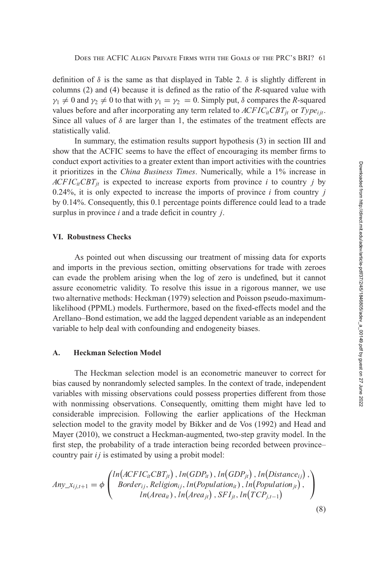<span id="page-16-0"></span>definition of  $\delta$  is the same as that displayed in Table [2.](#page-12-0)  $\delta$  is slightly different in columns [\(2\)](#page-6-0) and [\(4\)](#page-7-0) because it is defined as the ratio of the *R-*squared value with  $\gamma_1 \neq 0$  and  $\gamma_2 \neq 0$  to that with  $\gamma_1 = \gamma_2 = 0$ . Simply put,  $\delta$  compares the *R*-squared values before and after incorporating any term related to  $ACFIC_{it}CBT_{it}$  or  $Type_{it}$ . Since all values of  $\delta$  are larger than 1, the estimates of the treatment effects are statistically valid.

In summary, the estimation results support hypothesis [\(3\)](#page-6-0) in [section III](#page-5-0) and show that the ACFIC seems to have the effect of encouraging its member firms to conduct export activities to a greater extent than import activities with the countries it prioritizes in the *China Business Times*. Numerically, while a 1% increase in  $ACFIC_iCBT_{it}$  is expected to increase exports from province *i* to country *j* by 0.24%, it is only expected to increase the imports of province *i* from country *j* by 0.14%. Consequently, this 0.1 percentage points difference could lead to a trade surplus in province *i* and a trade deficit in country *j*.

### **VI. Robustness Checks**

As pointed out when discussing our treatment of missing data for exports and imports in the previous section, omitting observations for trade with zeroes can evade the problem arising when the log of zero is undefined, but it cannot assure econometric validity. To resolve this issue in a rigorous manner, we use two alternative methods: Heckman [\(1979\)](#page-28-0) selection and Poisson pseudo-maximumlikelihood (PPML) models. Furthermore, based on the fixed-effects model and the Arellano–Bond estimation, we add the lagged dependent variable as an independent variable to help deal with confounding and endogeneity biases.

### **A. Heckman Selection Model**

The Heckman selection model is an econometric maneuver to correct for bias caused by nonrandomly selected samples. In the context of trade, independent variables with missing observations could possess properties different from those with nonmissing observations. Consequently, omitting them might have led to considerable imprecision. Following the earlier applications of the Heckman selection model to the gravity model by Bikker and de Vos [\(1992\)](#page-27-0) and Head and Mayer [\(2010\)](#page-28-0), we construct a Heckman-augmented, two-step gravity model. In the first step, the probability of a trade interaction being recorded between province– country pair *i j* is estimated by using a probit model:

$$
Any \_\mathit{x}_{ij,t+1} = \phi \begin{pmatrix} ln(\mathit{ACFIC}_{it}CBT_{jt}), ln(\mathit{GDP}_{it}), ln(\mathit{GDP}_{jt}), ln(\mathit{Distance}_{ij}), \\ Border_{ij}, Religion_{ij}, ln(\mathit{Population}_{it}), ln(\mathit{Population}_{jt}), \\ ln(\mathit{Area}_{it}), ln(\mathit{Area}_{jt}), SFI_{jt}, ln(\mathit{TCP}_{j,t-1}) \end{pmatrix},
$$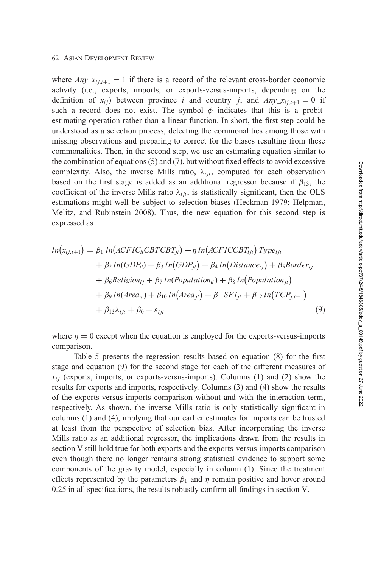#### 62 Asian Development Review

where  $Any_{i,i,t+1} = 1$  if there is a record of the relevant cross-border economic activity (i.e., exports, imports, or exports-versus-imports, depending on the definition of  $x_{ij}$ ) between province *i* and country *j*, and  $Any_{i,i,t+1} = 0$  if such a record does not exist. The symbol  $\phi$  indicates that this is a probitestimating operation rather than a linear function. In short, the first step could be understood as a selection process, detecting the commonalities among those with missing observations and preparing to correct for the biases resulting from these commonalities. Then, in the second step, we use an estimating equation similar to the combination of [equations \(5\)](#page-7-0) and [\(7\)](#page-9-0), but without fixed effects to avoid excessive complexity. Also, the inverse Mills ratio,  $\lambda_{ijt}$ , computed for each observation based on the first stage is added as an additional regressor because if  $\beta_{13}$ , the coefficient of the inverse Mills ratio  $\lambda_{ijt}$ , is statistically significant, then the OLS estimations might well be subject to selection biases (Heckman [1979;](#page-28-0) Helpman, Melitz, and Rubinstein [2008\)](#page-28-0). Thus, the new equation for this second step is expressed as

$$
ln(x_{ij,t+1}) = \beta_1 ln(ACFIC_{it}CBTCBT_{jt}) + \eta ln(ACFICCBT_{ijt}) Type_{ijt}
$$
  
+  $\beta_2 ln(GDP_{it}) + \beta_3 ln(GDP_{jt}) + \beta_4 ln(Distance_{ij}) + \beta_5 B order_{ij}$   
+  $\beta_6 Religion_{ij} + \beta_7 ln(Population_{it}) + \beta_8 ln(Population_{jt})$   
+  $\beta_9 ln(Area_{it}) + \beta_{10} ln(Area_{jt}) + \beta_{11} SFI_{jt} + \beta_{12} ln(TCP_{j,t-1})$   
+  $\beta_{13}\lambda_{ijt} + \beta_0 + \varepsilon_{ijt}$  (9)

where  $\eta = 0$  except when the equation is employed for the exports-versus-imports comparison.

Table [5](#page-18-0) presents the regression results based on [equation \(8\)](#page-16-0) for the first stage and equation (9) for the second stage for each of the different measures of  $x_{ij}$  (exports, imports, or exports-versus-imports). Columns [\(1\)](#page-6-0) and [\(2\)](#page-6-0) show the results for exports and imports, respectively. Columns [\(3\)](#page-6-0) and [\(4\)](#page-7-0) show the results of the exports-versus-imports comparison without and with the interaction term, respectively. As shown, the inverse Mills ratio is only statistically significant in columns [\(1\)](#page-6-0) and [\(4\)](#page-7-0), implying that our earlier estimates for imports can be trusted at least from the perspective of selection bias. After incorporating the inverse Mills ratio as an additional regressor, the implications drawn from the results in [section V](#page-9-0) still hold true for both exports and the exports-versus-imports comparison even though there no longer remains strong statistical evidence to support some components of the gravity model, especially in column [\(1\)](#page-6-0). Since the treatment effects represented by the parameters  $\beta_1$  and  $\eta$  remain positive and hover around 0.25 in all specifications, the results robustly confirm all findings in [section V.](#page-9-0)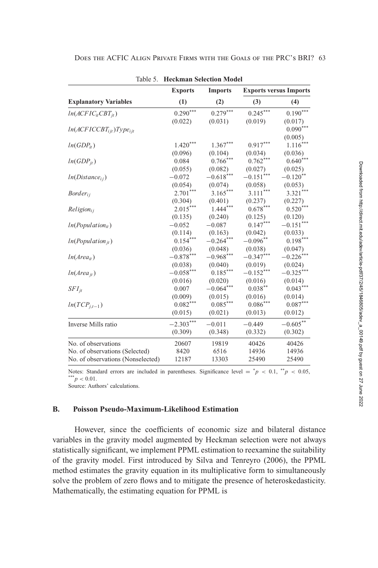|                                   | <b>Exports</b> | <b>Imports</b> |             | <b>Exports versus Imports</b> |  |  |
|-----------------------------------|----------------|----------------|-------------|-------------------------------|--|--|
| <b>Explanatory Variables</b>      | (1)            | (2)            | (3)         | (4)                           |  |  |
| $ln(ACFICitCBTit)$                | $0.290***$     | $0.279***$     | $0.245***$  | $0.190***$                    |  |  |
|                                   | (0.022)        | (0.031)        | (0.019)     | (0.017)                       |  |  |
| $ln(ACFICCBT_{ijt})Type_{ijt}$    |                |                |             | $0.090***$                    |  |  |
|                                   |                |                |             | (0.005)                       |  |  |
| $ln(GDP_{it})$                    | $1.420***$     | $1.367***$     | $0.917***$  | $1.116***$                    |  |  |
|                                   | (0.096)        | (0.104)        | (0.034)     | (0.036)                       |  |  |
| $ln(GDP_{it})$                    | 0.084          | $0.766***$     | $0.762***$  | $0.640***$                    |  |  |
|                                   | (0.055)        | (0.082)        | (0.027)     | (0.025)                       |  |  |
| $ln(Distance_{ij})$               | $-0.072$       | $-0.618***$    | $-0.151***$ | $-0.120$ <sup>**</sup>        |  |  |
|                                   | (0.054)        | (0.074)        | (0.058)     | (0.053)                       |  |  |
| $Border_{ii}$                     | $2.701***$     | $3.165***$     | $3.111***$  | $3.321***$                    |  |  |
|                                   | (0.304)        | (0.401)        | (0.237)     | (0.227)                       |  |  |
| $Religion_{ii}$                   | $2.015***$     | $1.444***$     | $0.678***$  | $0.520***$                    |  |  |
|                                   | (0.135)        | (0.240)        | (0.125)     | (0.120)                       |  |  |
| $ln(Population_{it})$             | $-0.052$       | $-0.087$       | $0.147***$  | $-0.151$ ***                  |  |  |
|                                   | (0.114)        | (0.163)        | (0.042)     | (0.033)                       |  |  |
| $ln(Population_{it})$             | $0.154***$     | $-0.264***$    | $-0.096***$ | $0.198***$                    |  |  |
|                                   | (0.036)        | (0.048)        | (0.038)     | (0.047)                       |  |  |
| $ln(Area_{it})$                   | $-0.878***$    | $-0.968***$    | $-0.347***$ | $-0.226$ <sup>*</sup>         |  |  |
|                                   | (0.038)        | (0.040)        | (0.019)     | (0.024)                       |  |  |
| $ln(Area_{it})$                   | $-0.058***$    | $0.185***$     | $-0.152***$ | $-0.325***$                   |  |  |
|                                   | (0.016)        | (0.020)        | (0.016)     | (0.014)                       |  |  |
| $SFI_{it}$                        | 0.007          | $-0.064***$    | $0.038***$  | $0.043***$                    |  |  |
|                                   | (0.009)        | (0.015)        | (0.016)     | (0.014)                       |  |  |
| $ln(TCP_{i,t-1})$                 | $0.082***$     | $0.085***$     | $0.086***$  | $0.087***$                    |  |  |
|                                   | (0.015)        | (0.021)        | (0.013)     | (0.012)                       |  |  |
| Inverse Mills ratio               | $-2.303***$    | $-0.011$       | $-0.449$    | $-0.605***$                   |  |  |
|                                   | (0.309)        | (0.348)        | (0.332)     | (0.302)                       |  |  |
| No. of observations               | 20607          | 19819          | 40426       | 40426                         |  |  |
| No. of observations (Selected)    | 8420           | 6516           | 14936       | 14936                         |  |  |
| No. of observations (Nonselected) | 12187          | 13303          | 25490       | 25490                         |  |  |

<span id="page-18-0"></span>DOES THE ACFIC ALIGN PRIVATE FIRMS WITH THE GOALS OF THE PRC'S BRI? 63

Table 5 Heckman Selection Model

Notes: Standard errors are included in parentheses. Significance level =  $^{*}p$  < 0.1,  $^{**}p$  < 0.05,  $p^*$  < 0.01.

Source: Authors' calculations.

#### **B. Poisson Pseudo-Maximum-Likelihood Estimation**

However, since the coefficients of economic size and bilateral distance variables in the gravity model augmented by Heckman selection were not always statistically significant, we implement PPML estimation to reexamine the suitability of the gravity model. First introduced by Silva and Tenreyro (2006), the PPML method estimates the gravity equation in its multiplicative form to simultaneously solve the problem of zero flows and to mitigate the presence of heteroskedasticity. Mathematically, the estimating equation for PPML is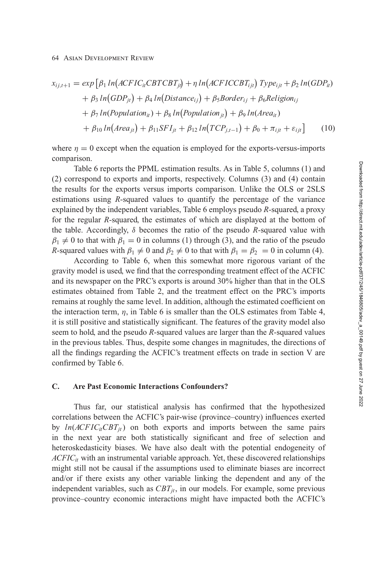$$
x_{ij,t+1} = exp [ \beta_1 ln(ACFIC_{ii}CBTCBT_{ji}) + \eta ln(ACFICCBT_{ijt}) Type_{ijt} + \beta_2 ln(GDP_{it})
$$
  
+ 
$$
\beta_3 ln(GDP_{jt}) + \beta_4 ln(Distance_{ij}) + \beta_5 Border_{ij} + \beta_6 Religion_{ij}
$$
  
+ 
$$
\beta_7 ln(Population_{it}) + \beta_8 ln(Population_{jt}) + \beta_9 ln(Area_{it})
$$
  
+ 
$$
\beta_{10} ln(Area_{jt}) + \beta_{11} SFI_{jt} + \beta_{12} ln(TCP_{j,t-1}) + \beta_0 + \pi_{ijt} + \varepsilon_{ijt}
$$
 (10)

where  $\eta = 0$  except when the equation is employed for the exports-versus-imports comparison.

Table [6](#page-20-0) reports the PPML estimation results. As in Table [5,](#page-18-0) columns [\(1\)](#page-6-0) and [\(2\)](#page-6-0) correspond to exports and imports, respectively. Columns [\(3\)](#page-6-0) and [\(4\)](#page-7-0) contain the results for the exports versus imports comparison. Unlike the OLS or 2SLS estimations using *R-*squared values to quantify the percentage of the variance explained by the independent variables, Table [6](#page-20-0) employs pseudo *R-*squared, a proxy for the regular *R-*squared, the estimates of which are displayed at the bottom of the table. Accordingly, δ becomes the ratio of the pseudo *R-*squared value with  $\beta_1 \neq 0$  to that with  $\beta_1 = 0$  in columns [\(1\)](#page-6-0) through [\(3\)](#page-6-0), and the ratio of the pseudo *R*-squared values with  $\beta_1 \neq 0$  and  $\beta_2 \neq 0$  to that with  $\beta_1 = \beta_2 = 0$  in column [\(4\)](#page-7-0).

According to Table [6,](#page-20-0) when this somewhat more rigorous variant of the gravity model is used, we find that the corresponding treatment effect of the ACFIC and its newspaper on the PRC's exports is around 30% higher than that in the OLS estimates obtained from Table [2,](#page-12-0) and the treatment effect on the PRC's imports remains at roughly the same level. In addition, although the estimated coefficient on the interaction term,  $\eta$ , in Table [6](#page-20-0) is smaller than the OLS estimates from Table [4,](#page-15-0) it is still positive and statistically significant. The features of the gravity model also seem to hold, and the pseudo *R-*squared values are larger than the *R-*squared values in the previous tables. Thus, despite some changes in magnitudes, the directions of all the findings regarding the ACFIC's treatment effects on trade in [section V](#page-9-0) are confirmed by Table [6.](#page-20-0)

### **C. Are Past Economic Interactions Confounders?**

Thus far, our statistical analysis has confirmed that the hypothesized correlations between the ACFIC's pair-wise (province–country) influences exerted by  $ln(ACFIC<sub>it</sub>CBT<sub>it</sub>)$  on both exports and imports between the same pairs in the next year are both statistically significant and free of selection and heteroskedasticity biases. We have also dealt with the potential endogeneity of  $ACFIC<sub>it</sub>$  with an instrumental variable approach. Yet, these discovered relationships might still not be causal if the assumptions used to eliminate biases are incorrect and/or if there exists any other variable linking the dependent and any of the independent variables, such as  $CBT_{it}$ , in our models. For example, some previous province–country economic interactions might have impacted both the ACFIC's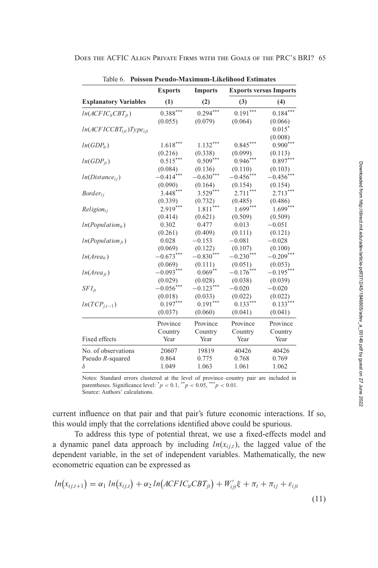<span id="page-20-0"></span>

|                                | <b>Exports</b> | <b>Imports</b> |              | <b>Exports versus Imports</b> |
|--------------------------------|----------------|----------------|--------------|-------------------------------|
| <b>Explanatory Variables</b>   | (1)            | (2)            | (3)          | (4)                           |
| $ln(ACFICitCBTit)$             | $0.388***$     | $0.294***$     | $0.191***$   | $0.184***$                    |
|                                | (0.055)        | (0.079)        | (0.064)      | (0.066)                       |
| $ln(ACFICCBT_{ijt})Type_{ijt}$ |                |                |              | $0.015*$                      |
|                                |                |                |              | (0.008)                       |
| $ln(GDP_{it})$                 | $1.618***$     | $1.132***$     | $0.845***$   | $0.900***$                    |
|                                | (0.216)        | (0.338)        | (0.099)      | (0.113)                       |
| $ln(GDP_{jt})$                 | $0.515***$     | $0.509***$     | $0.946***$   | $0.897***$                    |
|                                | (0.084)        | (0.136)        | (0.110)      | (0.103)                       |
| $ln(Distance_{ii})$            | $-0.414***$    | $-0.630***$    | $-0.456$ *** | $-0.456$ ***                  |
|                                | (0.090)        | (0.164)        | (0.154)      | (0.154)                       |
| $Border_{ii}$                  | $3.448***$     | $3.529***$     | 2.711        | $2.713***$                    |
|                                | (0.339)        | (0.732)        | (0.485)      | (0.486)                       |
| $Religion_{ii}$                | $2.919***$     | ***<br>1.811   | $1.699***$   | $1.699***$                    |
|                                | (0.414)        | (0.621)        | (0.509)      | (0.509)                       |
| $ln(Population_{it})$          | 0.302          | 0.477          | 0.013        | $-0.051$                      |
|                                | (0.261)        | (0.409)        | (0.111)      | (0.121)                       |
| $ln(Population_{it})$          | 0.028          | $-0.153$       | $-0.081$     | $-0.028$                      |
|                                | (0.069)        | (0.122)        | (0.107)      | (0.100)                       |
| $ln(Area_{it})$                | $-0.673***$    | $-0.830***$    | $-0.230***$  | $-0.209***$                   |
|                                | (0.069)        | (0.111)        | (0.051)      | (0.053)                       |
| $ln(Area_{jt})$                | $-0.093***$    | $0.069***$     | $-0.176***$  | $-0.195***$                   |
|                                | (0.029)        | (0.028)        | (0.038)      | (0.039)                       |
| $SFI_{it}$                     | $-0.056***$    | $-0.123***$    | $-0.020$     | $-0.020$                      |
|                                | (0.018)        | (0.033)        | (0.022)      | (0.022)                       |
| $ln(TCP_{i,t-1})$              | $0.197***$     | $0.191***$     | $0.133***$   | $0.133***$                    |
|                                | (0.037)        | (0.060)        | (0.041)      | (0.041)                       |
|                                | Province       | Province       | Province     | Province                      |
|                                | Country        | Country        | Country      | Country                       |
| Fixed effects                  | Year           | Year           | Year         | Year                          |
| No. of observations            | 20607          | 19819          | 40426        | 40426                         |
| Pseudo R-squared               | 0.864          | 0.775          | 0.768        | 0.769                         |
| δ                              | 1.049          | 1.063          | 1.061        | 1.062                         |

Table 6. **Poisson Pseudo-Maximum-Likelihood Estimates**

current influence on that pair and that pair's future economic interactions. If so, this would imply that the correlations identified above could be spurious.

To address this type of potential threat, we use a fixed-effects model and a dynamic panel data approach by including  $ln(x_{i,i,t})$ , the lagged value of the dependent variable, in the set of independent variables. Mathematically, the new econometric equation can be expressed as

$$
ln(x_{ij,t+1}) = \alpha_1 ln(x_{ij,t}) + \alpha_2 ln(ACFIC_{it}CBT_{jt}) + W'_{ijt}\xi + \pi_t + \pi_{ij} + \varepsilon_{ijt}
$$
\n(11)

Notes: Standard errors clustered at the level of province–country pair are included in parentheses. Significance level:  $^*p < 0.1$ ,  $^{**}p < 0.05$ ,  $^{***}p < 0.01$ . Source: Authors' calculations.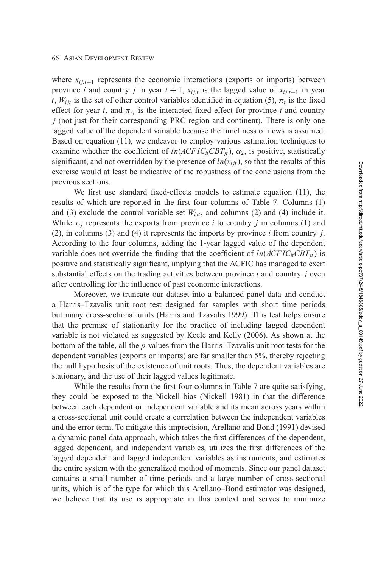#### 66 Asian Development Review

where  $x_{i,i,t+1}$  represents the economic interactions (exports or imports) between province *i* and country *j* in year  $t + 1$ ,  $x_{i,j,t}$  is the lagged value of  $x_{i,j,t+1}$  in year *t*,  $W_{i}$  is the set of other control variables identified in [equation \(5\),](#page-7-0)  $\pi$ <sub>*t*</sub> is the fixed effect for year *t*, and  $\pi_{ij}$  is the interacted fixed effect for province *i* and country *j* (not just for their corresponding PRC region and continent). There is only one lagged value of the dependent variable because the timeliness of news is assumed. Based on [equation \(11\),](#page-20-0) we endeavor to employ various estimation techniques to examine whether the coefficient of  $ln(ACFIC<sub>it</sub>CBT<sub>it</sub>)$ ,  $\alpha_2$ , is positive, statistically significant, and not overridden by the presence of  $ln(x_{i, it})$ , so that the results of this exercise would at least be indicative of the robustness of the conclusions from the previous sections.

We first use standard fixed-effects models to estimate [equation \(11\),](#page-20-0) the results of which are reported in the first four columns of Table [7.](#page-22-0) Columns [\(1\)](#page-6-0) and [\(3\)](#page-6-0) exclude the control variable set  $W_{ijt}$ , and columns [\(2\)](#page-6-0) and [\(4\)](#page-7-0) include it. While  $x_{ij}$  represents the exports from province *i* to country *j* in columns [\(1\)](#page-6-0) and [\(2\)](#page-6-0), in columns [\(3\)](#page-6-0) and [\(4\)](#page-7-0) it represents the imports by province *i* from country *j*. According to the four columns, adding the 1-year lagged value of the dependent variable does not override the finding that the coefficient of  $ln(ACFIC<sub>it</sub>CBT<sub>it</sub>)$  is positive and statistically significant, implying that the ACFIC has managed to exert substantial effects on the trading activities between province *i* and country *j* even after controlling for the influence of past economic interactions.

Moreover, we truncate our dataset into a balanced panel data and conduct a Harris–Tzavalis unit root test designed for samples with short time periods but many cross-sectional units (Harris and Tzavalis [1999\)](#page-28-0). This test helps ensure that the premise of stationarity for the practice of including lagged dependent variable is not violated as suggested by Keele and Kelly [\(2006\)](#page-28-0). As shown at the bottom of the table, all the *p*-values from the Harris–Tzavalis unit root tests for the dependent variables (exports or imports) are far smaller than 5%, thereby rejecting the null hypothesis of the existence of unit roots. Thus, the dependent variables are stationary, and the use of their lagged values legitimate.

While the results from the first four columns in Table [7](#page-22-0) are quite satisfying, they could be exposed to the Nickell bias (Nickell [1981\)](#page-29-0) in that the difference between each dependent or independent variable and its mean across years within a cross-sectional unit could create a correlation between the independent variables and the error term. To mitigate this imprecision, Arellano and Bond [\(1991\)](#page-27-0) devised a dynamic panel data approach, which takes the first differences of the dependent, lagged dependent, and independent variables, utilizes the first differences of the lagged dependent and lagged independent variables as instruments, and estimates the entire system with the generalized method of moments. Since our panel dataset contains a small number of time periods and a large number of cross-sectional units, which is of the type for which this Arellano–Bond estimator was designed, we believe that its use is appropriate in this context and serves to minimize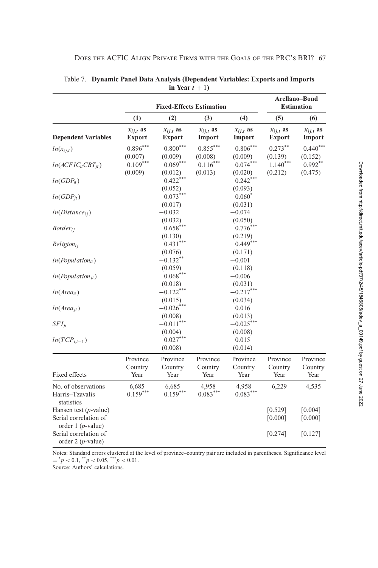|                                                                     | <b>Fixed-Effects Estimation</b> |                                      |                          |                                 | Arellano-Bond<br><b>Estimation</b> |                         |
|---------------------------------------------------------------------|---------------------------------|--------------------------------------|--------------------------|---------------------------------|------------------------------------|-------------------------|
|                                                                     | (1)                             | (2)                                  | (3)                      | (4)                             | (5)                                | (6)                     |
| <b>Dependent Variables</b>                                          | $x_{ij,t}$ as<br>Export         | $x_{ij,t}$ as<br>Export              | $x_{i,j,t}$ as<br>Import | $x_{ij,t}$ as<br>Import         | $x_{i,j,t}$ as<br>Export           | $x_{ij,t}$ as<br>Import |
| $ln(x_{i,j,t})$                                                     | $0.896***$<br>(0.007)           | $0.800***$<br>(0.009)                | $0.855***$<br>(0.008)    | $0.806***$<br>(0.009)           | $0.273***$<br>(0.139)              | $0.440***$<br>(0.152)   |
| $ln(ACFICitCBTit)$                                                  | $0.109***$<br>(0.009)           | $0.069***$<br>(0.012)                | $0.116***$<br>(0.013)    | $0.074***$<br>(0.020)           | $1.140***$<br>(0.212)              | $0.992$ **<br>(0.475)   |
| $ln(GDP_{it})$                                                      |                                 | $0.422***$<br>(0.052)                |                          | $0.242***$<br>(0.093)           |                                    |                         |
| $ln(GDP_{it})$                                                      |                                 | $0.073***$<br>(0.017)                |                          | $0.060*$<br>(0.031)             |                                    |                         |
| $ln(Distance_{ij})$                                                 |                                 | $-0.032$<br>(0.032)                  |                          | $-0.074$<br>(0.050)             |                                    |                         |
| $Border_{ij}$                                                       |                                 | $0.658***$<br>(0.130)                |                          | $0.776***$<br>(0.219)           |                                    |                         |
| $Religion_{ii}$                                                     |                                 | $0.431***$<br>(0.076)                |                          | $0.449***$<br>(0.171)           |                                    |                         |
| $ln(Population_{it})$                                               |                                 | $-0.132$ **<br>(0.059)<br>$0.068***$ |                          | $-0.001$<br>(0.118)<br>$-0.006$ |                                    |                         |
| $ln(Population_{it})$<br>$ln(Area_{it})$                            |                                 | (0.018)<br>$-0.122***$               |                          | (0.031)<br>$-0.217***$          |                                    |                         |
| $ln(Area_{it})$                                                     |                                 | (0.015)<br>$-0.026***$               |                          | (0.034)<br>0.016                |                                    |                         |
| $SFI_{it}$                                                          |                                 | (0.008)<br>$-0.011***$               |                          | (0.013)<br>$-0.025***$          |                                    |                         |
| $ln(TCP_{i,t-1})$                                                   |                                 | (0.004)<br>$0.027***$<br>(0.008)     |                          | (0.008)<br>0.015<br>(0.014)     |                                    |                         |
|                                                                     | Province<br>Country             | Province<br>Country                  | Province<br>Country      | Province<br>Country             | Province<br>Country                | Province<br>Country     |
| Fixed effects                                                       | Year                            | Year                                 | Year                     | Year                            | Year                               | Year                    |
| No. of observations<br>Harris-Tzavalis<br>statistics                | 6,685<br>$0.159***$             | 6,685<br>$0.159***$                  | 4,958<br>$0.083***$      | 4,958<br>$0.083***$             | 6,229                              | 4,535                   |
| Hansen test $(p$ -value)<br>Serial correlation of                   |                                 |                                      |                          |                                 | [0.529]<br>[0.000]                 | [0.004]<br>[0.000]      |
| order $1(p$ -value)<br>Serial correlation of<br>order $2(p$ -value) |                                 |                                      |                          |                                 | [0.274]                            | [0.127]                 |

<span id="page-22-0"></span>Table 7. Dynamic Panel Data Analysis (Dependent Variables: Exports and Imports in Year  $t + 1$ )

Notes: Standard errors clustered at the level of province-country pair are included in parentheses. Significance level =  $\frac{*}p < 0.1, \frac{**}p < 0.05, \frac{***}p < 0.01$ .<br>Source: Authors' calculations.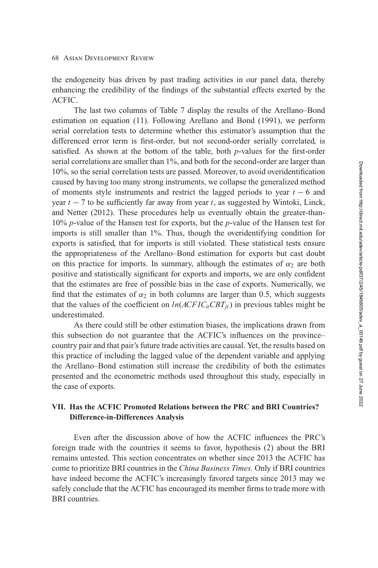<span id="page-23-0"></span>the endogeneity bias driven by past trading activities in our panel data, thereby enhancing the credibility of the findings of the substantial effects exerted by the ACFIC.

The last two columns of Table [7](#page-22-0) display the results of the Arellano–Bond estimation on [equation \(11\).](#page-20-0) Following Arellano and Bond [\(1991\)](#page-27-0), we perform serial correlation tests to determine whether this estimator's assumption that the differenced error term is first-order, but not second-order serially correlated, is satisfied. As shown at the bottom of the table, both *p*-values for the first-order serial correlations are smaller than 1%, and both for the second-order are larger than 10%, so the serial correlation tests are passed. Moreover, to avoid overidentification caused by having too many strong instruments, we collapse the generalized method of moments style instruments and restrict the lagged periods to year *t* − 6 and year  $t - 7$  to be sufficiently far away from year  $t$ , as suggested by Wintoki, Linck, and Netter [\(2012\)](#page-29-0). These procedures help us eventually obtain the greater-than-10% *p*-value of the Hansen test for exports, but the *p*-value of the Hansen test for imports is still smaller than 1%. Thus, though the overidentifying condition for exports is satisfied, that for imports is still violated. These statistical tests ensure the appropriateness of the Arellano–Bond estimation for exports but cast doubt on this practice for imports. In summary, although the estimates of  $\alpha_2$  are both positive and statistically significant for exports and imports, we are only confident that the estimates are free of possible bias in the case of exports. Numerically, we find that the estimates of  $\alpha_2$  in both columns are larger than 0.5, which suggests that the values of the coefficient on  $ln(ACFIC<sub>it</sub>CH<sub>it</sub>)$  in previous tables might be underestimated.

As there could still be other estimation biases, the implications drawn from this subsection do not guarantee that the ACFIC's influences on the province– country pair and that pair's future trade activities are causal. Yet, the results based on this practice of including the lagged value of the dependent variable and applying the Arellano–Bond estimation still increase the credibility of both the estimates presented and the econometric methods used throughout this study, especially in the case of exports.

### **VII. Has the ACFIC Promoted Relations between the PRC and BRI Countries? Difference-in-Differences Analysis**

Even after the discussion above of how the ACFIC influences the PRC's foreign trade with the countries it seems to favor, hypothesis [\(2\)](#page-6-0) about the BRI remains untested. This section concentrates on whether since 2013 the ACFIC has come to prioritize BRI countries in the *China Business Times.* Only if BRI countries have indeed become the ACFIC's increasingly favored targets since 2013 may we safely conclude that the ACFIC has encouraged its member firms to trade more with BRI countries.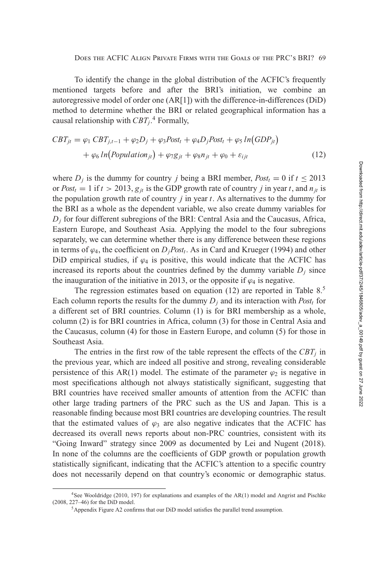To identify the change in the global distribution of the ACFIC's frequently mentioned targets before and after the BRI's initiation, we combine an autoregressive model of order one (AR[1]) with the difference-in-differences (DiD) method to determine whether the BRI or related geographical information has a causal relationship with  $CBT_j$ .<sup>4</sup> Formally,

$$
CBT_{jt} = \varphi_1 \, CBT_{j,t-1} + \varphi_2 D_j + \varphi_3 Post_t + \varphi_4 D_j Post_t + \varphi_5 \, ln(GDP_{jt})
$$

$$
+ \varphi_6 \, ln(Population_{jt}) + \varphi_7 g_{jt} + \varphi_8 n_{jt} + \varphi_0 + \varepsilon_{ijt} \tag{12}
$$

where  $D_i$  is the dummy for country *j* being a BRI member,  $Post_t = 0$  if  $t \le 2013$ or  $Post_t = 1$  if  $t > 2013$ ,  $g_{it}$  is the GDP growth rate of country *j* in year *t*, and  $n_{it}$  is the population growth rate of country *j* in year *t*. As alternatives to the dummy for the BRI as a whole as the dependent variable, we also create dummy variables for  $D_i$  for four different subregions of the BRI: Central Asia and the Caucasus, Africa, Eastern Europe, and Southeast Asia. Applying the model to the four subregions separately, we can determine whether there is any difference between these regions in terms of  $\varphi_4$ , the coefficient on  $D_jPost_t$ . As in Card and Krueger [\(1994\)](#page-27-0) and other DiD empirical studies, if  $\varphi_4$  is positive, this would indicate that the ACFIC has increased its reports about the countries defined by the dummy variable  $D_i$  since the inauguration of the initiative in 2013, or the opposite if  $\varphi_4$  is negative.

The regression estimates based on equation (12) are reported in Table  $8<sup>5</sup>$ Each column reports the results for the dummy  $D_i$  and its interaction with *Post<sub>t</sub>* for a different set of BRI countries. Column [\(1\)](#page-6-0) is for BRI membership as a whole, column [\(2\)](#page-6-0) is for BRI countries in Africa, column [\(3\)](#page-6-0) for those in Central Asia and the Caucasus, column [\(4\)](#page-7-0) for those in Eastern Europe, and column [\(5\)](#page-7-0) for those in Southeast Asia.

The entries in the first row of the table represent the effects of the  $CBT<sub>j</sub>$  in the previous year, which are indeed all positive and strong, revealing considerable persistence of this AR(1) model. The estimate of the parameter  $\varphi_2$  is negative in most specifications although not always statistically significant, suggesting that BRI countries have received smaller amounts of attention from the ACFIC than other large trading partners of the PRC such as the US and Japan. This is a reasonable finding because most BRI countries are developing countries. The result that the estimated values of  $\varphi_3$  are also negative indicates that the ACFIC has decreased its overall news reports about non-PRC countries, consistent with its "Going Inward" strategy since 2009 as documented by Lei and Nugent [\(2018\)](#page-28-0). In none of the columns are the coefficients of GDP growth or population growth statistically significant, indicating that the ACFIC's attention to a specific country does not necessarily depend on that country's economic or demographic status.

<sup>4</sup>See Wooldridge [\(2010,](#page-29-0) 197) for explanations and examples of the AR(1) model and Angrist and Pischke [\(2008,](#page-27-0) 227–46) for the DiD model.

<sup>&</sup>lt;sup>5</sup> Appendix Figure A2 confirms that our DiD model satisfies the parallel trend assumption.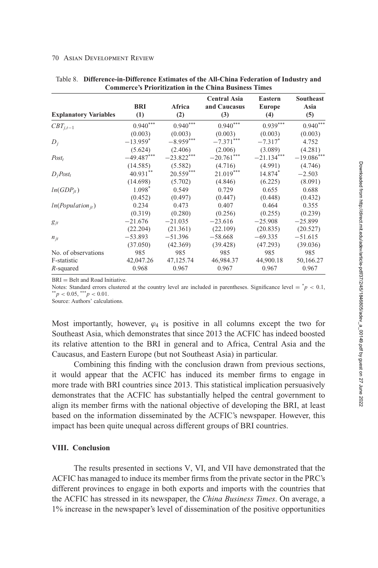#### <span id="page-25-0"></span>**70 ASIAN DEVELOPMENT REVIEW**

| <b>Explanatory Variables</b> | <b>BRI</b><br>(1)      | Africa<br>(2)        | <b>Central Asia</b><br>and Caucasus<br>(3) | <b>Eastern</b><br><b>Europe</b><br>(4) | <b>Southeast</b><br>Asia<br>(5) |
|------------------------------|------------------------|----------------------|--------------------------------------------|----------------------------------------|---------------------------------|
| $CBT_{j,t-1}$                | $0.940^\mathrm{***}$   | $0.940^\mathrm{***}$ | $0.940^\mathrm{***}$                       | $0.939***$                             | $0.940***$                      |
|                              | (0.003)                | (0.003)              | (0.003)                                    | (0.003)                                | (0.003)                         |
| $D_i$                        | $-13.959$ <sup>*</sup> | $-8.959***$          | $-7.371***$                                | $-7.317^*$                             | 4.752                           |
|                              | (5.624)                | (2.406)              | (2.006)                                    | (3.089)                                | (4.281)                         |
| $Post_t$                     | $-49.487***$           | $-23.822***$         | $-20.761***$                               | $-21.134***$                           | $-19.086***$                    |
|                              | (14.585)               | (5.582)              | (4.716)                                    | (4.991)                                | (4.746)                         |
| $D_i Post_t$                 | 40.931**               | $20.559***$          | $21.019***$                                | 14.874*                                | $-2.503$                        |
|                              | (14.698)               | (5.702)              | (4.846)                                    | (6.225)                                | (8.091)                         |
| $ln(GDP_{it})$               | 1.098*                 | 0.549                | 0.729                                      | 0.655                                  | 0.688                           |
|                              | (0.452)                | (0.497)              | (0.447)                                    | (0.448)                                | (0.432)                         |
| $ln(Population_{it})$        | 0.234                  | 0.473                | 0.407                                      | 0.464                                  | 0.355                           |
|                              | (0.319)                | (0.280)              | (0.256)                                    | (0.255)                                | (0.239)                         |
| $g_{jt}$                     | $-21.676$              | $-21.035$            | $-23.616$                                  | $-25.908$                              | $-25.899$                       |
|                              | (22.204)               | (21.361)             | (22.109)                                   | (20.835)                               | (20.527)                        |
| $n_{it}$                     | $-53.893$              | $-51.396$            | $-58.668$                                  | $-69.335$                              | $-51.615$                       |
|                              | (37.050)               | (42.369)             | (39.428)                                   | (47.293)                               | (39.036)                        |
| No. of observations          | 985                    | 985                  | 985                                        | 985                                    | 985                             |
| F-statistic                  | 42,047.26              | 47,125.74            | 46,984.37                                  | 44,900.18                              | 50,166.27                       |
| R-squared                    | 0.968                  | 0.967                | 0.967                                      | 0.967                                  | 0.967                           |

Table 8. Difference-in-Difference Estimates of the All-China Federation of Industry and **Commerce's Prioritization in the China Business Times** 

 $BRI = Belt$  and Road Initiative.

Notes: Standard errors clustered at the country level are included in parentheses. Significance level =  $^*p < 0.1$ , \*\* $p < 0.05$ , \*\*\* $p < 0.01$ .

Source: Authors' calculations.

Most importantly, however,  $\varphi_4$  is positive in all columns except the two for Southeast Asia, which demonstrates that since 2013 the ACFIC has indeed boosted its relative attention to the BRI in general and to Africa, Central Asia and the Caucasus, and Eastern Europe (but not Southeast Asia) in particular.

Combining this finding with the conclusion drawn from previous sections, it would appear that the ACFIC has induced its member firms to engage in more trade with BRI countries since 2013. This statistical implication persuasively demonstrates that the ACFIC has substantially helped the central government to align its member firms with the national objective of developing the BRI, at least based on the information disseminated by the ACFIC's newspaper. However, this impact has been quite unequal across different groups of BRI countries.

### **VIII.** Conclusion

The results presented in sections V, VI, and VII have demonstrated that the ACFIC has managed to induce its member firms from the private sector in the PRC's different provinces to engage in both exports and imports with the countries that the ACFIC has stressed in its newspaper, the China Business Times. On average, a 1% increase in the newspaper's level of dissemination of the positive opportunities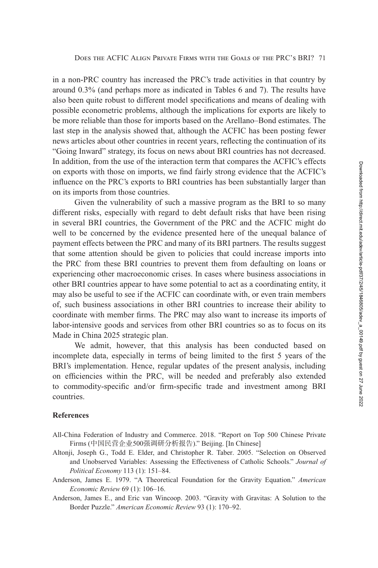<span id="page-26-0"></span>in a non-PRC country has increased the PRC's trade activities in that country by around 0.3% (and perhaps more as indicated in Tables [6](#page-20-0) and [7\)](#page-22-0). The results have also been quite robust to different model specifications and means of dealing with possible econometric problems, although the implications for exports are likely to be more reliable than those for imports based on the Arellano–Bond estimates. The last step in the analysis showed that, although the ACFIC has been posting fewer news articles about other countries in recent years, reflecting the continuation of its "Going Inward" strategy, its focus on news about BRI countries has not decreased. In addition, from the use of the interaction term that compares the ACFIC's effects on exports with those on imports, we find fairly strong evidence that the ACFIC's influence on the PRC's exports to BRI countries has been substantially larger than on its imports from those countries.

Given the vulnerability of such a massive program as the BRI to so many different risks, especially with regard to debt default risks that have been rising in several BRI countries, the Government of the PRC and the ACFIC might do well to be concerned by the evidence presented here of the unequal balance of payment effects between the PRC and many of its BRI partners. The results suggest that some attention should be given to policies that could increase imports into the PRC from these BRI countries to prevent them from defaulting on loans or experiencing other macroeconomic crises. In cases where business associations in other BRI countries appear to have some potential to act as a coordinating entity, it may also be useful to see if the ACFIC can coordinate with, or even train members of, such business associations in other BRI countries to increase their ability to coordinate with member firms. The PRC may also want to increase its imports of labor-intensive goods and services from other BRI countries so as to focus on its Made in China 2025 strategic plan.

We admit, however, that this analysis has been conducted based on incomplete data, especially in terms of being limited to the first 5 years of the BRI's implementation. Hence, regular updates of the present analysis, including on efficiencies within the PRC, will be needed and preferably also extended to commodity-specific and/or firm-specific trade and investment among BRI countries.

### **References**

- All-China Federation of Industry and Commerce. 2018. "Report on Top 500 Chinese Private Firms (中国民营企业500强调研分析报告)." Beijing. [In Chinese]
- Altonji, Joseph G., Todd E. Elder, and Christopher R. Taber. 2005. "Selection on Observed and Unobserved Variables: Assessing the Effectiveness of Catholic Schools." *Journal of Political Economy* 113 (1): 151–84.
- Anderson, James E. 1979. "A Theoretical Foundation for the Gravity Equation." *American Economic Review* 69 (1): 106–16.
- Anderson, James E., and Eric van Wincoop. 2003. "Gravity with Gravitas: A Solution to the Border Puzzle." *American Economic Review* 93 (1): 170–92.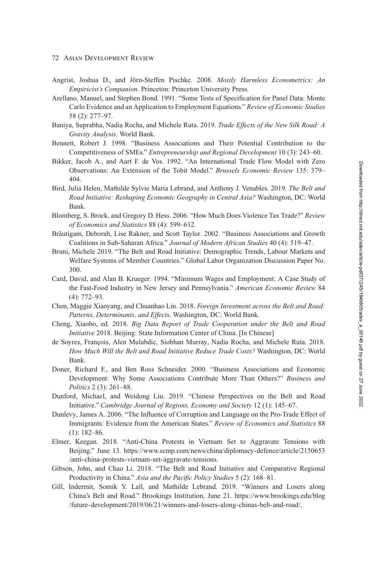### <span id="page-27-0"></span>72 Asian Development Review

- Angrist, Joshua D., and Jörn-Steffen Pischke. 2008. *Mostly Harmless Econometrics: An Empiricist's Companion*. Princeton: Princeton University Press.
- Arellano, Manuel, and Stephen Bond. 1991. "Some Tests of Specification for Panel Data: Monte Carlo Evidence and an Application to Employment Equations." *Review of Economic Studies* 58 (2): 277–97.
- Baniya, Suprabha, Nadia Rocha, and Michele Ruta. 2019. *Trade Effects of the New Silk Road: A Gravity Analysis*. World Bank.
- Bennett, Robert J. 1998. "Business Associations and Their Potential Contribution to the Competitiveness of SMEs." *Entrepreneurship and Regional Development* 10 (3): 243–60.
- Bikker, Jacob A., and Aart F. de Vos. 1992. "An International Trade Flow Model with Zero Observations: An Extension of the Tobit Model." *Brussels Economic Review* 135: 379– 404.
- Bird, Julia Helen, Mathilde Sylvie Maria Lebrand, and Anthony J. Venables. 2019. *The Belt and Road Initiative: Reshaping Economic Geography in Central Asia?* Washington, DC: World Bank.
- Blomberg, S. Brock, and Gregory D. Hess. 2006. "How Much Does Violence Tax Trade?" *Review of Economics and Statistics* 88 (4): 599–612.
- Bräutigam, Deborah, Lise Rakner, and Scott Taylor. 2002. "Business Associations and Growth Coalitions in Sub-Saharan Africa." *Journal of Modern African Studies* 40 (4): 519–47.
- Bruni, Michele 2019. "The Belt and Road Initiative: Demographic Trends, Labour Markets and Welfare Systems of Member Countries." Global Labor Organization Discussion Paper No. 300.
- Card, David, and Alan B. Krueger. 1994. "Minimum Wages and Employment: A Case Study of the Fast-Food Industry in New Jersey and Pennsylvania." *American Economic Review* 84 (4): 772–93.
- Chen, Maggie Xiaoyang, and Chuanhao Lin. 2018. *Foreign Investment across the Belt and Road: Patterns, Determinants, and Effects*. Washington, DC: World Bank.
- Cheng, Xiaobo, ed. 2018. *Big Data Report of Trade Cooperation under the Belt and Road Initiative* 2018. Beijing: State Information Center of China. [In Chinese]
- de Soyres, François, Alen Mulabdic, Siobhan Murray, Nadia Rocha, and Michele Ruta. 2018. *How Much Will the Belt and Road Initiative Reduce Trade Costs?* Washington, DC: World Bank.
- Doner, Richard F., and Ben Ross Schneider. 2000. "Business Associations and Economic Development: Why Some Associations Contribute More Than Others?" *Business and Politics* 2 (3): 261–88.
- Dunford, Michael, and Weidong Liu. 2019. "Chinese Perspectives on the Belt and Road Initiative." *Cambridge Journal of Regions, Economy and Society* 12 (1): 145–67.
- Dunlevy, James A. 2006. "The Influence of Corruption and Language on the Pro-Trade Effect of Immigrants: Evidence from the American States." *Review of Economics and Statistics* 88 (1): 182–86.
- Elmer, Keegan. 2018. "Anti-China Protests in Vietnam Set to Aggravate Tensions with [Beijing." June 13. https://www.scmp.com/news/china/diplomacy-defence/article/2150653](https://www.scmp.com/news/china/diplomacy-defence/article/2150653/anti-china-protests-vietnam-set-aggravate-tensions) /anti-china-protests-vietnam-set-aggravate-tensions.
- Gibson, John, and Chao Li. 2018. "The Belt and Road Initiative and Comparative Regional Productivity in China." *Asia and the Pacific Policy Studies* 5 (2): 168–81.
- Gill, Indermit, Somik Y. Lall, and Mathilde Lebrand. 2019. "Winners and Losers along [China's Belt and Road." Brookings Institution, June 21. https://www.brookings.edu/blog](https://www.brookings.edu/blog/future-development/2019/06/21/winners-and-losers-along-chinas-belt-and-road/) /future-development/2019/06/21/winners-and-losers-along-chinas-belt-and-road/.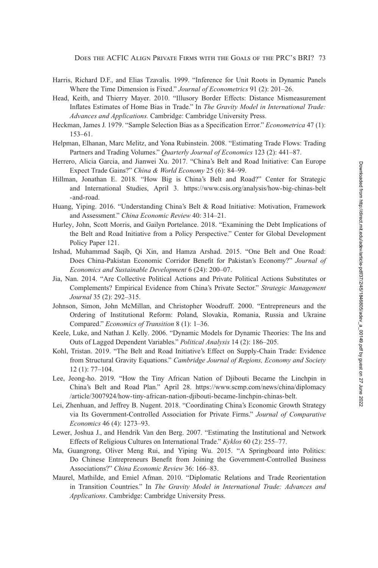- <span id="page-28-0"></span>Harris, Richard D.F., and Elias Tzavalis. 1999. "Inference for Unit Roots in Dynamic Panels Where the Time Dimension is Fixed." *Journal of Econometrics* 91 (2): 201–26.
- Head, Keith, and Thierry Mayer. 2010. "Illusory Border Effects: Distance Mismeasurement Inflates Estimates of Home Bias in Trade." In *The Gravity Model in International Trade: Advances and Applications.* Cambridge: Cambridge University Press.
- Heckman, James J. 1979. "Sample Selection Bias as a Specification Error." *Econometrica* 47 (1): 153–61.
- Helpman, Elhanan, Marc Melitz, and Yona Rubinstein. 2008. "Estimating Trade Flows: Trading Partners and Trading Volumes." *Quarterly Journal of Economics* 123 (2): 441–87.
- Herrero, Alicia Garcia, and Jianwei Xu. 2017. "China's Belt and Road Initiative: Can Europe Expect Trade Gains?" *China & World Economy* 25 (6): 84–99.
- Hillman, Jonathan E. 2018. "How Big is China's Belt and Road?" Center for Strategic [and International Studies, April 3. https://www.csis.org/analysis/how-big-chinas-belt](https://www.csis.org/analysis/how-big-chinas-belt-and-road) -and-road.
- Huang, Yiping. 2016. "Understanding China's Belt & Road Initiative: Motivation, Framework and Assessment." *China Economic Review* 40: 314–21.
- Hurley, John, Scott Morris, and Gailyn Portelance. 2018. "Examining the Debt Implications of the Belt and Road Initiative from a Policy Perspective." Center for Global Development Policy Paper 121.
- Irshad, Muhammad Saqib, Qi Xin, and Hamza Arshad. 2015. "One Belt and One Road: Does China-Pakistan Economic Corridor Benefit for Pakistan's Economy?" *Journal of Economics and Sustainable Development* 6 (24): 200–07.
- Jia, Nan. 2014. "Are Collective Political Actions and Private Political Actions Substitutes or Complements? Empirical Evidence from China's Private Sector." *Strategic Management Journal* 35 (2): 292–315.
- Johnson, Simon, John McMillan, and Christopher Woodruff. 2000. "Entrepreneurs and the Ordering of Institutional Reform: Poland, Slovakia, Romania, Russia and Ukraine Compared." *Economics of Transition* 8 (1): 1–36.
- Keele, Luke, and Nathan J. Kelly. 2006. "Dynamic Models for Dynamic Theories: The Ins and Outs of Lagged Dependent Variables." *Political Analysis* 14 (2): 186–205.
- Kohl, Tristan. 2019. "The Belt and Road Initiative's Effect on Supply-Chain Trade: Evidence from Structural Gravity Equations." *Cambridge Journal of Regions, Economy and Society* 12 (1): 77–104.
- Lee, Jeong-ho. 2019. "How the Tiny African Nation of Djibouti Became the Linchpin in [China's Belt and Road Plan." April 28. https://www.scmp.com/news/china/diplomacy](https://www.scmp.com/news/china/diplomacy/article/3007924/how-tiny-african-nation-djibouti-became-linchpin-chinas-belt) /article/3007924/how-tiny-african-nation-djibouti-became-linchpin-chinas-belt.
- Lei, Zhenhuan, and Jeffrey B. Nugent. 2018. "Coordinating China's Economic Growth Strategy via Its Government-Controlled Association for Private Firms." *Journal of Comparative Economics* 46 (4): 1273–93.
- Lewer, Joshua J., and Hendrik Van den Berg. 2007. "Estimating the Institutional and Network Effects of Religious Cultures on International Trade." *Kyklos* 60 (2): 255–77.
- Ma, Guangrong, Oliver Meng Rui, and Yiping Wu. 2015. "A Springboard into Politics: Do Chinese Entrepreneurs Benefit from Joining the Government-Controlled Business Associations?" *China Economic Review* 36: 166–83.
- Maurel, Mathilde, and Emiel Afman. 2010. "Diplomatic Relations and Trade Reorientation in Transition Countries." In *The Gravity Model in International Trade: Advances and Applications*. Cambridge: Cambridge University Press.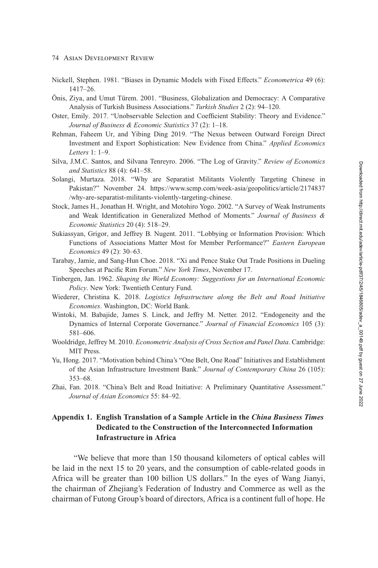- <span id="page-29-0"></span>**74 ASIAN DEVELOPMENT REVIEW**
- Nickell, Stephen. 1981. "Biases in Dynamic Models with Fixed Effects." Econometrica 49 (6):  $1417 - 26$ .
- Önis, Ziya, and Umut Türem. 2001. "Business, Globalization and Democracy: A Comparative Analysis of Turkish Business Associations." Turkish Studies 2 (2): 94-120.
- Oster, Emily. 2017. "Unobservable Selection and Coefficient Stability: Theory and Evidence." Journal of Business & Economic Statistics 37 (2): 1-18.
- Rehman, Faheem Ur, and Yibing Ding 2019. "The Nexus between Outward Foreign Direct Investment and Export Sophistication: New Evidence from China." Applied Economics Letters  $1: 1-9$ .
- Silva, J.M.C. Santos, and Silvana Tenreyro. 2006. "The Log of Gravity." Review of Economics and Statistics 88 (4): 641-58.
- Solangi, Murtaza. 2018. "Why are Separatist Militants Violently Targeting Chinese in Pakistan?" November 24. https://www.scmp.com/week-asia/geopolitics/article/2174837 /why-are-separatist-militants-violently-targeting-chinese.
- Stock, James H., Jonathan H. Wright, and Motohiro Yogo. 2002. "A Survey of Weak Instruments and Weak Identification in Generalized Method of Moments." Journal of Business & Economic Statistics 20 (4): 518-29.
- Sukiassyan, Grigor, and Jeffrey B. Nugent. 2011. "Lobbying or Information Provision: Which Functions of Associations Matter Most for Member Performance?" Eastern European Economics 49 (2): 30-63.
- Tarabay, Jamie, and Sang-Hun Choe. 2018. "Xi and Pence Stake Out Trade Positions in Dueling Speeches at Pacific Rim Forum." New York Times, November 17.
- Tinbergen, Jan. 1962. Shaping the World Economy: Suggestions for an International Economic Policy. New York: Twentieth Century Fund.
- Wiederer, Christina K. 2018. Logistics Infrastructure along the Belt and Road Initiative Economies. Washington, DC: World Bank.
- Wintoki, M. Babajide, James S. Linck, and Jeffry M. Netter. 2012. "Endogeneity and the Dynamics of Internal Corporate Governance." Journal of Financial Economics 105 (3): 581-606.
- Wooldridge, Jeffrey M. 2010. Econometric Analysis of Cross Section and Panel Data. Cambridge: MIT Press.
- Yu, Hong. 2017. "Motivation behind China's "One Belt, One Road" Initiatives and Establishment of the Asian Infrastructure Investment Bank." Journal of Contemporary China 26 (105):  $353 - 68$ .
- Zhai, Fan. 2018. "China's Belt and Road Initiative: A Preliminary Quantitative Assessment." Journal of Asian Economics 55: 84-92.

## Appendix 1. English Translation of a Sample Article in the China Business Times Dedicated to the Construction of the Interconnected Information **Infrastructure in Africa**

"We believe that more than 150 thousand kilometers of optical cables will be laid in the next 15 to 20 years, and the consumption of cable-related goods in Africa will be greater than 100 billion US dollars." In the eyes of Wang Jianyi, the chairman of Zhejiang's Federation of Industry and Commerce as well as the chairman of Futong Group's board of directors, Africa is a continent full of hope. He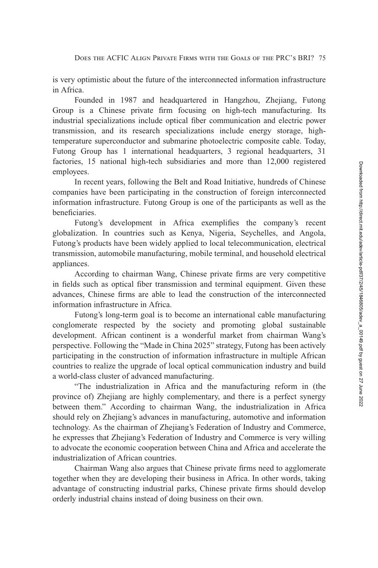is very optimistic about the future of the interconnected information infrastructure in Africa.

Founded in 1987 and headquartered in Hangzhou, Zhejiang, Futong Group is a Chinese private firm focusing on high-tech manufacturing. Its industrial specializations include optical fiber communication and electric power transmission, and its research specializations include energy storage, hightemperature superconductor and submarine photoelectric composite cable. Today, Futong Group has 1 international headquarters, 3 regional headquarters, 31 factories, 15 national high-tech subsidiaries and more than 12,000 registered employees.

In recent years, following the Belt and Road Initiative, hundreds of Chinese companies have been participating in the construction of foreign interconnected information infrastructure. Futong Group is one of the participants as well as the beneficiaries.

Futong's development in Africa exemplifies the company's recent globalization. In countries such as Kenya, Nigeria, Seychelles, and Angola, Futong's products have been widely applied to local telecommunication, electrical transmission, automobile manufacturing, mobile terminal, and household electrical appliances.

According to chairman Wang, Chinese private firms are very competitive in fields such as optical fiber transmission and terminal equipment. Given these advances, Chinese firms are able to lead the construction of the interconnected information infrastructure in Africa.

Futong's long-term goal is to become an international cable manufacturing conglomerate respected by the society and promoting global sustainable development. African continent is a wonderful market from chairman Wang's perspective. Following the "Made in China 2025" strategy, Futong has been actively participating in the construction of information infrastructure in multiple African countries to realize the upgrade of local optical communication industry and build a world-class cluster of advanced manufacturing.

"The industrialization in Africa and the manufacturing reform in (the province of) Zhejiang are highly complementary, and there is a perfect synergy between them." According to chairman Wang, the industrialization in Africa should rely on Zhejiang's advances in manufacturing, automotive and information technology. As the chairman of Zhejiang's Federation of Industry and Commerce, he expresses that Zhejiang's Federation of Industry and Commerce is very willing to advocate the economic cooperation between China and Africa and accelerate the industrialization of African countries.

Chairman Wang also argues that Chinese private firms need to agglomerate together when they are developing their business in Africa. In other words, taking advantage of constructing industrial parks, Chinese private firms should develop orderly industrial chains instead of doing business on their own.